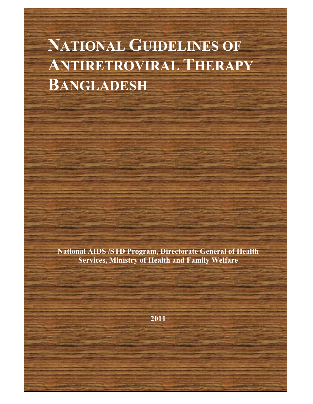# **NATIONAL GUIDELINES OF ANTIRETROVIRAL THERAPY BANGLADESH**

**National AIDS /STD Program, Directorate General of Health Services, Ministry of Health and Family Welfare** 

**2011**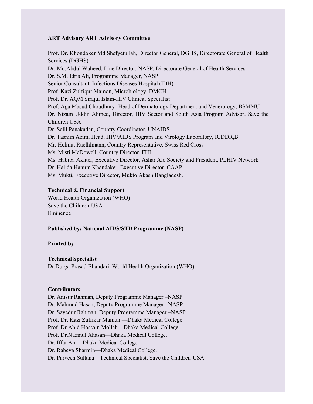#### **ART Advisory ART Advisory Committee**

Services (DGHS) Dr. S.M. Idris Ali, Programme Manager, NASP Prof. Aga Masud Choudhury- Head of Dermatology Department and Venerology, BSMMU Dr. Nizam Uddin Ahmed, Director, HIV Sector and South Asia Program Advisor, Save the Dr. Tasnim Azim, Head, HIV/AIDS Program and Virology Laboratory, ICDDR,B Dr. Halida Hanum Khandaker, Executive Director, CAAP. Prof. Dr. Khondoker Md Shefyetullah, Director General, DGHS, Directorate General of Health Dr. Md.Abdul Waheed, Line Director, NASP, Directorate General of Health Services Senior Consultant, Infectious Diseases Hospital (IDH) Prof. Kazi Zulfiqur Mamon, Microbiology, DMCH Prof. Dr. AQM Sirajul Islam-HIV Clinical Specialist Children USA Dr. Salil Panakadan, Country Coordinator, UNAIDS Mr. Helmut Raelhlmann, Country Representative, Swiss Red Cross Ms. Misti McDowell, Country Director, FHI Ms. Habiba Akhter, Executive Director, Ashar Alo Society and President, PLHIV Network Ms. Mukti, Executive Director, Mukto Akash Bangladesh.

#### **Technical & Financial Support**

World Health Organization (WHO) Save the Children-USA Eminence

#### **Published by: National AIDS/STD Programme (NASP)**

#### **Printed by**

#### **Technical Specialist**

Dr.Durga Prasad Bhandari, World Health Organization (WHO)

#### **Contributors**

 Dr. Mahmud Hasan, Deputy Programme Manager –NASP Prof. Dr. Kazi Zulfikar Mamun.—Dhaka Medical College Dr. Anisur Rahman, Deputy Programme Manager –NASP Dr. Sayedur Rahman, Deputy Programme Manager –NASP Prof. Dr.Abid Hossain Mollah—Dhaka Medical College. Prof. Dr.Nazmul Ahasan—Dhaka Medical College. Dr. Iffat Ara—Dhaka Medical College. Dr. Rabeya Sharmin—Dhaka Medical College. Dr. Parveen Sultana—Technical Specialist, Save the Children-USA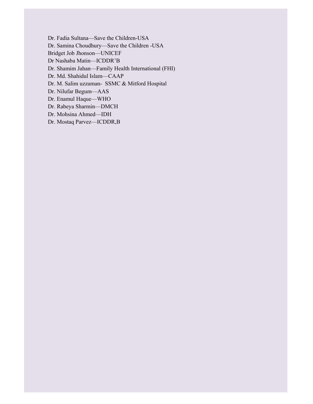Dr. Fadia Sultana-Save the Children-USA

Dr. Fadia Sultana—Save the Children-USA Dr. Samina Choudhury—Save the Children -USA

Bridget Job Jhonson—UNICEF

Dr Nashaba Matin—ICDDR'B

Dr. Shamim Jahan—Family Health International (FHI)

Dr. Md. Shahidul Islam—CAAP

Dr. M. Salim uzzaman- SSMC & Mitford Hospital

Dr. Nilufar Begum—AAS

Dr. Enamul Haque-WHO

Dr. Rabeya Sharmin—DMCH

Dr. Mohsina Ahmed—IDH

Dr. Mostaq Parvez—ICDDR,B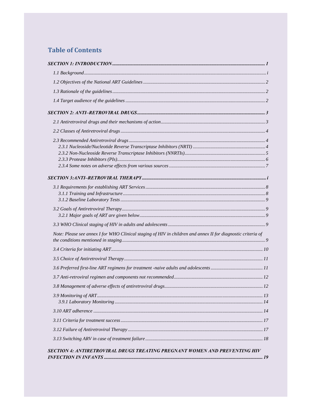### **Table of Contents**

| Note: Please see annex I for WHO Clinical staging of HIV in children and annex II for diagnostic criteria of |  |
|--------------------------------------------------------------------------------------------------------------|--|
|                                                                                                              |  |
|                                                                                                              |  |
|                                                                                                              |  |
|                                                                                                              |  |
|                                                                                                              |  |
|                                                                                                              |  |
|                                                                                                              |  |
|                                                                                                              |  |
|                                                                                                              |  |
|                                                                                                              |  |
| <b>SECTION 4: ANTIRETROVIRAL DRUGS TREATING PREGNANT WOMEN AND PREVENTING HIV</b>                            |  |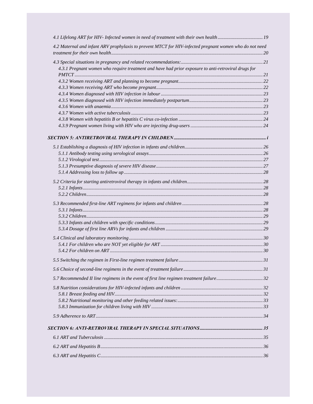| 4.2 Maternal and infant ARV prophylaxis to prevent MTCT for HIV-infected pregnant women who do not need |  |
|---------------------------------------------------------------------------------------------------------|--|
|                                                                                                         |  |
|                                                                                                         |  |
| 4.3.1 Pregnant women who require treatment and have had prior exposure to anti-retroviral drugs for     |  |
|                                                                                                         |  |
|                                                                                                         |  |
|                                                                                                         |  |
|                                                                                                         |  |
|                                                                                                         |  |
|                                                                                                         |  |
|                                                                                                         |  |
|                                                                                                         |  |
|                                                                                                         |  |
|                                                                                                         |  |
|                                                                                                         |  |
|                                                                                                         |  |
|                                                                                                         |  |
|                                                                                                         |  |
|                                                                                                         |  |
|                                                                                                         |  |
|                                                                                                         |  |
|                                                                                                         |  |
|                                                                                                         |  |
|                                                                                                         |  |
|                                                                                                         |  |
|                                                                                                         |  |
|                                                                                                         |  |
|                                                                                                         |  |
|                                                                                                         |  |
|                                                                                                         |  |
|                                                                                                         |  |
|                                                                                                         |  |
|                                                                                                         |  |
|                                                                                                         |  |
|                                                                                                         |  |
|                                                                                                         |  |
|                                                                                                         |  |
|                                                                                                         |  |
|                                                                                                         |  |
|                                                                                                         |  |
|                                                                                                         |  |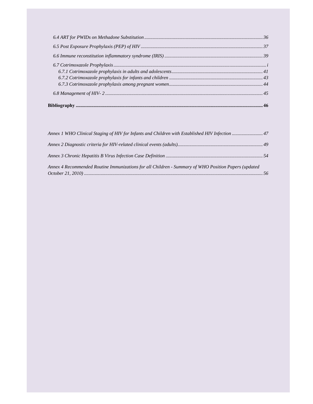| Annex 4 Recommended Routine Immunizations for all Children - Summary of WHO Position Papers (updated |  |
|------------------------------------------------------------------------------------------------------|--|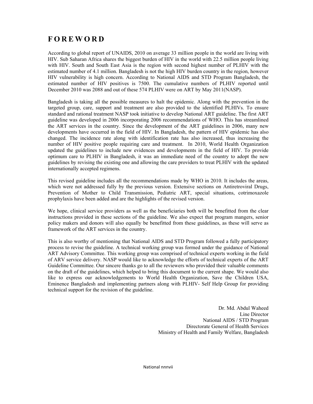### **FOREWORD**

 with HIV. South and South East Asia is the region with second highest number of PLHIV with the According to global report of UNAIDS, 2010 on average 33 million people in the world are living with HIV. Sub Saharan Africa shares the biggest burden of HIV in the world with 22.5 million people living estimated number of 4.1 million. Bangladesh is not the high HIV burden country in the region, however HIV vulnerability is high concern. According to National AIDS and STD Program Bangladesh, the estimated number of HIV positives is 7500. The cumulative numbers of PLHIV reported until December 2010 was 2088 and out of these 574 PLHIV were on ART by May 2011(NASP).

 targeted group, care, support and treatment are also provided to the identified PLHIVs. To ensure guideline was developed in 2006 incorporating 2006 recommendations of WHO. This has streamlined the ART services in the country. Since the development of the ART guidelines in 2006, many new number of HIV positive people requiring care and treatment. In 2010, World Health Organization Bangladesh is taking all the possible measures to halt the epidemic. Along with the prevention in the standard and rational treatment NASP took initiative to develop National ART guideline. The first ART developments have occurred in the field of HIV. In Bangladesh, the pattern of HIV epidemic has also changed. The incidence rate along with identification rate has also increased, thus increasing the updated the guidelines to include new evidences and developments in the field of HIV. To provide optimum care to PLHIV in Bangladesh, it was an immediate need of the country to adopt the new guidelines by revising the existing one and allowing the care providers to treat PLHIV with the updated internationally accepted regimens.

 This revised guideline includes all the recommendations made by WHO in 2010. It includes the areas, which were not addressed fully by the previous version. Extensive sections on Antiretroviral Drugs, Prevention of Mother to Child Transmission, Pediatric ART, special situations, cotrimoxazole prophylaxis have been added and are the highlights of the revised version.

 policy makers and donors will also equally be benefitted from these guidelines, as these will serve as We hope, clinical service providers as well as the beneficiaries both will be benefitted from the clear instructions provided in these sections of the guideline. We also expect that program mangers, senior framework of the ART services in the country.

 of ARV service delivery. NASP would like to acknowledge the efforts of technical experts of the ART This is also worthy of mentioning that National AIDS and STD Program followed a fully participatory process to revise the guideline. A technical working group was formed under the guidance of National ART Advisory Committee. This working group was comprised of technical experts working in the field Guideline Committee. Our sincere thanks go to all the reviewers who provided their valuable comments on the draft of the guidelines, which helped to bring this document to the current shape. We would also like to express our acknowledgements to World Health Organization, Save the Children USA, Eminence Bangladesh and implementing partners along with PLHIV- Self Help Group for providing technical support for the revision of the guideline.

> Dr. Md. Abdul Waheed Line Director National AIDS / STD Program Directorate General of Health Services Ministry of Health and Family Welfare, Bangladesh

National nnnvii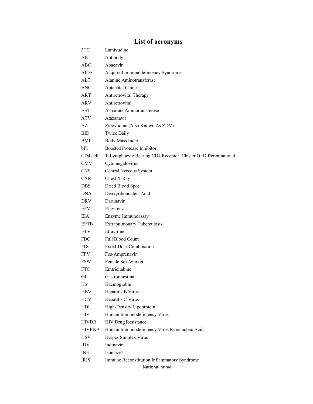## **List of acronyms**

| 3TC           | Lamivudine                                                      |
|---------------|-----------------------------------------------------------------|
| AВ            | Antibody                                                        |
| ABC           | Abacavir                                                        |
| AIDS          | Acquired Immunodeficiency Syndrome                              |
| ALT           | Alanine Aminotransferase                                        |
| ANC           | <b>Antenatal Clinic</b>                                         |
| ART           | Antiretroviral Therapy                                          |
| ARV           | Antiretroviral                                                  |
| AST           | Aspartate Aminotransferase                                      |
| ATV           | Atazanavir                                                      |
| AZT           | Zidovudine (Also Known As ZDV)                                  |
| BID           | <b>Twice Daily</b>                                              |
| BMI           | Body Mass Index                                                 |
| bPI           | <b>Boosted Protease Inhibitor</b>                               |
| CD4 cell      | T-Lymphocyte Bearing CD4 Receptor, Cluster Of Differentiation 4 |
| <b>CMV</b>    | Cytomegalovirus                                                 |
| CNS.          | Central Nervous System                                          |
| CXR.          | Chest X-Ray                                                     |
| DBS.          | Dried Blood Spot                                                |
| DNA           | Deoxyribonucleic Acid                                           |
| DRV           | Darunavir                                                       |
| EFV           | Efavirenz                                                       |
| EIA           | Enzyme Immunoassay                                              |
| <b>EPTB</b>   | Extrapulmonary Tuberculosis                                     |
| <b>ETV</b>    | Etravirine                                                      |
| FBC           | <b>Full Blood Count</b>                                         |
| FDC           | Fixed-Dose Combination                                          |
| FPV.          | Fos-Amprenavir                                                  |
| <b>FSW</b>    | Female Sex Worker                                               |
| <b>FTC</b>    | Emtricitabine                                                   |
| GI            | Gastrointestinal                                                |
| Hb            | Haemoglobin                                                     |
| <b>HBV</b>    | Hepatitis B Virus                                               |
| <b>HCV</b>    | Hepatitis C Virus                                               |
| HDL           | High-Density Lipoprotein                                        |
| <b>HIV</b>    | Human Immunodeficiency Virus                                    |
| <b>HIVDR</b>  | <b>HIV Drug Resistance</b>                                      |
| <b>HIVRNA</b> | Human Immunodeficiency Virus Ribonucleic Acid                   |
| <b>HSV</b>    | Herpes Simplex Virus                                            |
| <b>IDV</b>    | Indinavir                                                       |
| INH.          | Isoniazid                                                       |
| IRIS          | Immune Reconstitution Inflammatory Syndrome                     |
|               | National nnnviii                                                |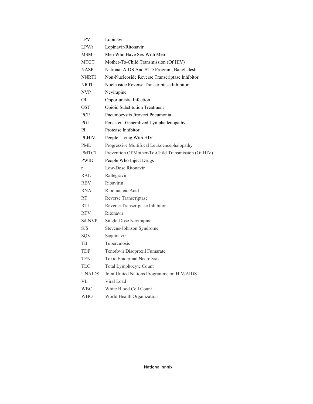| LPV           | Lopinavir                                           |
|---------------|-----------------------------------------------------|
| LPV/r         | Lopinavir/Ritonavir                                 |
| MSM           | Men Who Have Sex With Men                           |
| MTCT          | Mother-To-Child Transmission (Of HIV)               |
| NASP          | National AIDS And STD Program, Bangladesh           |
| <b>NNRTI</b>  | Non-Nucleoside Reverse Transcriptase Inhibitor      |
| <b>NRTI</b>   | Nucleoside Reverse Transcriptase Inhibitor          |
| NVP           | Nevirapine                                          |
| ΟI            | Opportunistic Infection                             |
| OST           | <b>Opioid Substitution Treatment</b>                |
| <b>PCP</b>    | Pneumocystis Jiroveci Pneumonia                     |
| PGL           | Persistent Generalized Lymphadenopathy              |
| РI            | Protease Inhibitor                                  |
| <b>PLHIV</b>  | People Living With HIV                              |
| PML           | Progressive Multifocal Leukoencephalopathy          |
| <b>PMTCT</b>  | Prevention Of Mother-To-Child Transmission (Of HIV) |
| <b>PWID</b>   | People Who Inject Drugs                             |
| $\mathbf{r}$  | Low-Dose Ritonavir                                  |
| RAL           | Raltegravir                                         |
| <b>RBV</b>    | Ribavirin                                           |
| <b>RNA</b>    | Ribonucleic Acid                                    |
| <b>RT</b>     | Reverse Transcriptase                               |
| <b>RTI</b>    | Reverse Transcriptase Inhibitor                     |
| <b>RTV</b>    | Ritonavir                                           |
| Sd-NVP        | Single-Dose Nevirapine                              |
| SJS           | Stevens-Johnson Syndrome                            |
| SQV           | Saquinavir                                          |
| TВ            | Tuberculosis                                        |
| <b>TDF</b>    | Tenofovir Disoproxil Fumarate                       |
| TEN           | Toxic Epidermal Necrolysis                          |
| TLC           | Total Lymphocyte Count                              |
| <b>UNAIDS</b> | Joint United Nations Programme on HIV/AIDS          |
| VL            | Viral Load                                          |
| WBC           | White Blood Cell Count                              |
| WHO           | World Health Organization                           |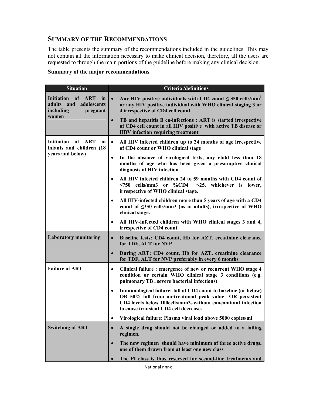### **SUMMARY OF THE RECOMMENDATIONS**

The table presents the summary of the recommendations included in the guidelines. This may not contain all the information necessary to make clinical decision, therefore, all the users are requested to through the main portions of the guideline before making any clinical decision.

### **Summary of the major recommendations**

| <b>Situation</b>                                                                        | <b>Criteria</b> /definitions                                                                                                                                                                                                                    |  |  |
|-----------------------------------------------------------------------------------------|-------------------------------------------------------------------------------------------------------------------------------------------------------------------------------------------------------------------------------------------------|--|--|
| <b>Initiation</b><br>of ART<br>in<br>adults and<br>adolescents<br>including<br>pregnant | Any HIV positive individuals with CD4 count $\leq$ 350 cells/mm <sup>3</sup><br>$\bullet$<br>or any HIV positive individual with WHO clinical staging 3 or<br>4 irrespective of CD4 cell count                                                  |  |  |
| women                                                                                   | TB and hepatitis B co-infections : ART is started irrespective<br>$\bullet$<br>of CD4 cell count in all HIV positive with active TB disease or<br><b>HBV</b> infection requiring treatment                                                      |  |  |
| Initiation of ART<br>in l<br>infants and children (18                                   | All HIV infected children up to 24 months of age irrespective<br>$\bullet$<br>of CD4 count or WHO clinical stage                                                                                                                                |  |  |
| years and below)                                                                        | In the absence of virological tests, any child less than 18<br>$\bullet$<br>months of age who has been given a presumptive clinical<br>diagnosis of HIV infection                                                                               |  |  |
|                                                                                         | All HIV infected children 24 to 59 months with CD4 count of<br>$\leq$ 750 cells/mm3 or %CD4+ $\leq$ 25, whichever is lower,<br>irrespective of WHO clinical stage.                                                                              |  |  |
|                                                                                         | All HIV-infected children more than 5 years of age with a CD4<br>count of <350 cells/mm3 (as in adults), irrespective of WHO<br>clinical stage.                                                                                                 |  |  |
|                                                                                         | All HIV-infected children with WHO clinical stages 3 and 4,<br>irrespective of CD4 count.                                                                                                                                                       |  |  |
| <b>Laboratory monitoring</b>                                                            | Baseline tests: CD4 count, Hb for AZT, creatinine clearance<br>$\bullet$<br>for TDF, ALT for NVP                                                                                                                                                |  |  |
|                                                                                         | During ART: CD4 count, Hb for AZT, creatinine clearance<br>$\bullet$<br>for TDF, ALT for NVP preferably in every 6 months                                                                                                                       |  |  |
| <b>Failure of ART</b>                                                                   | Clinical failure : emergence of new or recurrent WHO stage 4<br>$\bullet$<br>condition or certain WHO clinical stage 3 conditions (e.g.<br>pulmonary TB, severe bacterial infections)                                                           |  |  |
|                                                                                         | Immunological failure: fall of CD4 count to baseline (or below)<br>$\bullet$<br>OR 50% fall from on-treatment peak value OR persistent<br>CD4 levels below 100cells/mm3,,without concomitant infection<br>to cause transient CD4 cell decrease. |  |  |
|                                                                                         | Virological failure: Plasma viral load above 5000 copies/ml<br>$\bullet$                                                                                                                                                                        |  |  |
| <b>Switching of ART</b>                                                                 | A single drug should not be changed or added to a failing<br>$\bullet$<br>regimen.                                                                                                                                                              |  |  |
|                                                                                         | The new regimen should have minimum of three active drugs,<br>$\bullet$<br>one of them drawn from at least one new class                                                                                                                        |  |  |
|                                                                                         | The PI class is thus reserved for second-line treatments and<br>$\bullet$                                                                                                                                                                       |  |  |

National nnnx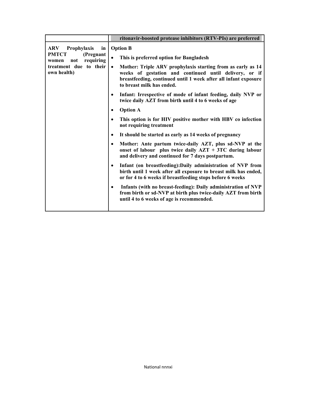|                                                     | ritonavir-boosted protease inhibitors (RTV-PIs) are preferred                                                                                                                                                                      |  |  |
|-----------------------------------------------------|------------------------------------------------------------------------------------------------------------------------------------------------------------------------------------------------------------------------------------|--|--|
| <b>ARV</b> Prophylaxis<br>in                        | <b>Option B</b>                                                                                                                                                                                                                    |  |  |
| <b>PMTCT</b><br>(Pregnant<br>not requiring<br>women | This is preferred option for Bangladesh<br>$\bullet$                                                                                                                                                                               |  |  |
| treatment due to their<br>own health)               | Mother: Triple ARV prophylaxis starting from as early as 14<br>$\bullet$<br>weeks of gestation and continued until delivery, or if<br>breastfeeding, continued until 1 week after all infant exposure<br>to breast milk has ended. |  |  |
|                                                     | Infant: Irrespective of mode of infant feeding, daily NVP or<br>٠<br>twice daily AZT from birth until 4 to 6 weeks of age                                                                                                          |  |  |
|                                                     | <b>Option A</b>                                                                                                                                                                                                                    |  |  |
|                                                     | This option is for HIV positive mother with HBV co infection<br>not requiring treatment                                                                                                                                            |  |  |
|                                                     | It should be started as early as 14 weeks of pregnancy<br>$\bullet$                                                                                                                                                                |  |  |
|                                                     | Mother: Ante partum twice-daily AZT, plus sd-NVP at the<br>٠<br>onset of labour plus twice daily $AZT + 3TC$ during labour<br>and delivery and continued for 7 days postpartum.                                                    |  |  |
|                                                     | Infant (on breastfeeding): Daily administration of NVP from<br>$\bullet$<br>birth until 1 week after all exposure to breast milk has ended,<br>or for 4 to 6 weeks if breastfeeding stops before 6 weeks                           |  |  |
|                                                     | Infants (with no breast-feeding): Daily administration of NVP<br>٠<br>from birth or sd-NVP at birth plus twice-daily AZT from birth<br>until 4 to 6 weeks of age is recommended.                                                   |  |  |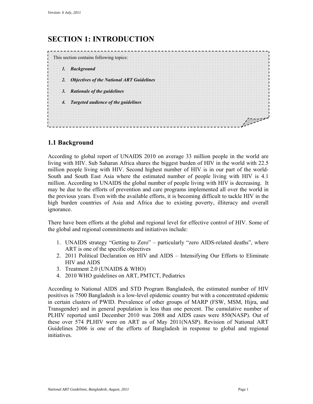### <span id="page-11-0"></span>**SECTION 1: INTRODUCTION**



### **1.1 Background**

 million people living with HIV. Second highest number of HIV is in our part of the world- South and South East Asia where the estimated number of people living with HIV is 4.1 million. According to UNAIDS the global number of people living with HIV is decreasing. It the previous years. Even with the available efforts, it is becoming difficult to tackle HIV in the high burden countries of Asia and Africa due to existing poverty, illiteracy and overall According to global report of UNAIDS 2010 on average 33 million people in the world are living with HIV. Sub Saharan Africa shares the biggest burden of HIV in the world with 22.5 may be due to the efforts of prevention and care programs implemented all over the world in ignorance.

 There have been efforts at the global and regional level for effective control of HIV. Some of the global and regional commitments and initiatives include:

- ART is one of the specific objectives 1. UNAIDS strategy "Getting to Zero" – particularly "zero AIDS-related deaths", where
- 2. 2011 Political Declaration on HIV and AIDS Intensifying Our Efforts to Eliminate HIV and AIDS
- 3. Treatment 2.0 (UNAIDS & WHO)
- 4. 2010 WHO guidelines on ART, PMTCT, Pediatrics

 According to National AIDS and STD Program Bangladesh, the estimated number of HIV positives is 7500 Bangladesh is a low-level epidemic country but with a concentrated epidemic in certain clusters of PWID. Prevalence of other groups of MARP (FSW, MSM, Hijra, and Transgender) and in general population is less than one percent. The cumulative number of PLHIV reported until December 2010 was 2088 and AIDS cases were 850(NASP). Out of these over 574 PLHIV were on ART as of May 2011(NASP). Revision of National ART Guidelines 2006 is one of the efforts of Bangladesh in response to global and regional initiatives.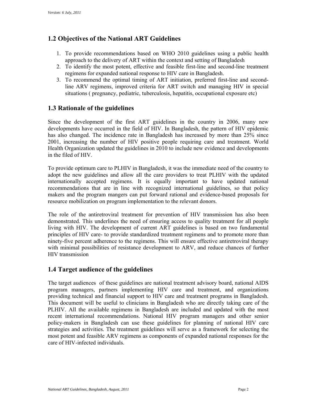### <span id="page-12-0"></span>**1.2 Objectives of the National ART Guidelines**

- approach to the delivery of ART within the context and setting of Bangladesh 1. To provide recommendations based on WHO 2010 guidelines using a public health
- 2. To identify the most potent, effective and feasible first-line and second-line treatment regimens for expanded national response to HIV care in Bangladesh.
- 3. To recommend the optimal timing of ART initiation, preferred first-line and secondline ARV regimens, improved criteria for ART switch and managing HIV in special situations ( pregnancy, pediatric, tuberculosis, hepatitis, occupational exposure etc)

### **1.3 Rationale of the guidelines**

Since the development of the first ART guidelines in the country in 2006, many new developments have occurred in the field of HIV. In Bangladesh, the pattern of HIV epidemic has also changed. The incidence rate in Bangladesh has increased by more than 25% since 2001, increasing the number of HIV positive people requiring care and treatment. World Health Organization updated the guidelines in 2010 to include new evidence and developments in the filed of HIV.

 adopt the new guidelines and allow all the care providers to treat PLHIV with the updated resource mobilization on program implementation to the relevant donors. To provide optimum care to PLHIV in Bangladesh, it was the immediate need of the country to internationally accepted regimens. It is equally important to have updated national recommendations that are in line with recognized international guidelines, so that policy makers and the program mangers can put forward rational and evidence-based proposals for

 demonstrated. This underlines the need of ensuring access to quality treatment for all people The role of the antiretroviral treatment for prevention of HIV transmission has also been living with HIV. The development of current ART guidelines is based on two fundamental principles of HIV care- to provide standardized treatment regimens and to promote more than ninety-five percent adherence to the regimens. This will ensure effective antiretroviral therapy with minimal possibilities of resistance development to ARV, and reduce chances of further HIV transmission

### **1.4 Target audience of the guidelines**

 The target audiences of these guidelines are national treatment advisory board, national AIDS program managers, partners implementing HIV care and treatment, and organizations providing technical and financial support to HIV care and treatment programs in Bangladesh. This document will be useful to clinicians in Bangladesh who are directly taking care of the PLHIV. All the available regimens in Bangladesh are included and updated with the most recent international recommendations. National HIV program managers and other senior policy-makers in Bangladesh can use these guidelines for planning of national HIV care strategies and activities. The treatment guidelines will serve as a framework for selecting the most potent and feasible ARV regimens as components of expanded national responses for the care of HIV-infected individuals.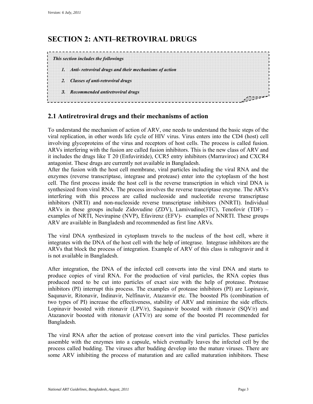### **SECTION 2: ANTI–RETROVIRAL DRUGS**



### **2.1 Antiretroviral drugs and their mechanisms of action**

To understand the mechanism of action of ARV, one needs to understand the basic steps of the viral replication, in other words life cycle of HIV virus. Virus enters into the CD4 (host) cell involving glycoproteins of the virus and receptors of host cells. The process is called fusion. ARVs interfering with the fusion are called fusion inhibitors. This is the new class of ARV and it includes the drugs like T 20 (Enfuviritide), CCR5 entry inhibitors (Marraviroc) and CXCR4 antagonist. These drugs are currently not available in Bangladesh.

 cell. The first process inside the host cell is the reverse transcription in which viral DNA is synthesized from viral RNA. The process involves the reverse trancriptase enzyme. The ARVs interfering with this process are called nucleoside and nucleotide reverse transcriptase After the fusion with the host cell membrane, viral particles including the viral RNA and the enzymes (reverse transcriptase, integrase and protease) enter into the cytoplasm of the host inhibitors (NRTI) and non-nucleoside reverse transcriptase inhibitors (NNRTI). Individual ARVs in these groups include Zidovudine (ZDV), Lamivudine(3TC), Tenofovir (TDF) – examples of NRTI, Nevirapine (NVP), Efavirenz (EFV)- examples of NNRTI. These groups ARV are available in Bangladesh and recommended as first line ARVs.

 The viral DNA synthesized in cytoplasm travels to the nucleus of the host cell, where it integrates with the DNA of the host cell with the help of integrase. Integrase inhibitors are the ARVs that block the process of integration. Example of ARV of this class is raltegravir and it is not available in Bangladesh.

 inhibitors (PI) interrupt this process. The examples of protease inhibitors (PI) are Lopinavir, Bangladesh. After integration, the DNA of the infected cell converts into the viral DNA and starts to produce copies of viral RNA. For the production of viral particles, the RNA copies thus produced need to be cut into particles of exact size with the help of protease. Protease Saqunavir, Ritonavir, Indinavir, Nelfinavir, Atazanvir etc. The boosted PIs (combination of two types of PI) increase the effectiveness, stability of ARV and minimize the side effects. Lopinavir boosted with ritonavir (LPV/r), Saquinavir boosted with ritonavir (SQV/r) and Atazanovir boosted with ritonavir (ATV/r) are some of the boosted PI recommended for

 assemble with the enzymes into a capsule, which eventually leaves the infected cell by the The viral RNA after the action of protease convert into the viral particles. These particles process called budding. The viruses after budding develop into the mature viruses. There are some ARV inhibiting the process of maturation and are called maturation inhibitors. These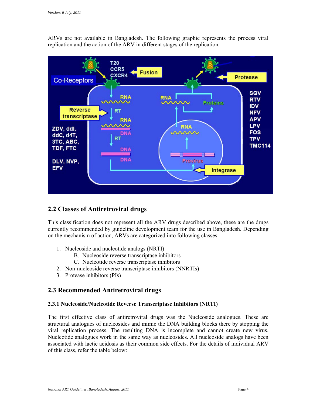ARVs are not available in Bangladesh. The following graphic represents the process viral replication and the action of the ARV in different stages of the replication.



### **2.2 Classes of Antiretroviral drugs**

This classification does not represent all the ARV drugs described above, these are the drugs currently recommended by guideline development team for the use in Bangladesh. Depending on the mechanism of action, ARVs are categorized into following classes:

- 1. Nucleoside and nucleotide analogs (NRTI)
	- B. Nucleoside reverse transcriptase inhibitors
	- C. Nucleotide reverse transcriptase inhibitors
- 2. Non-nucleoside reverse transcriptase inhibitors (NNRTIs)
- 3. Protease inhibitors (PIs)

### **2.3 Recommended Antiretroviral drugs**

### **2.3.1 Nucleoside/Nucleotide Reverse Transcriptase Inhibitors (NRTI)**

 structural analogues of nucleosides and mimic the DNA building blocks there by stopping the Nucleotide analogues work in the same way as nucleosides. All nucleoside analogs have been associated with lactic acidosis as their common side effects. For the details of individual ARV The first effective class of antiretroviral drugs was the Nucleoside analogues. These are viral replication process. The resulting DNA is incomplete and cannot create new virus. of this class, refer the table below: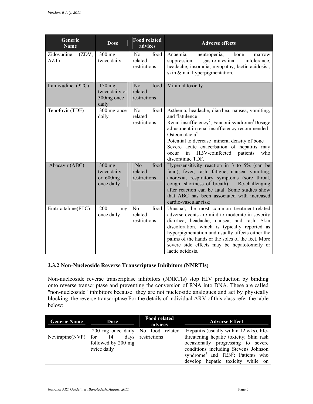| Generic<br><b>Name</b>      | <b>Dose</b>                                          | <b>Food related</b><br>advices                    | <b>Adverse effects</b>                                                                                                                                                                                                                                                                                                                                                                            |
|-----------------------------|------------------------------------------------------|---------------------------------------------------|---------------------------------------------------------------------------------------------------------------------------------------------------------------------------------------------------------------------------------------------------------------------------------------------------------------------------------------------------------------------------------------------------|
| Zidovudine<br>(ZDV,<br>AZT) | $300$ mg<br>twice daily                              | N <sub>o</sub><br>food<br>related<br>restrictions | Anaemia,<br>bone<br>neutropenia,<br>marrow<br>gastrointestinal<br>suppression,<br>intolerance,<br>headache, insomnia, myopathy, lactic acidosis <sup>1</sup> ,<br>skin & nail hyperpigmentation.                                                                                                                                                                                                  |
| Lamivudine (3TC)            | 150 mg<br>twice daily or<br>300mg once<br>daily      | food<br>N <sub>o</sub><br>related<br>restrictions | Minimal toxicity                                                                                                                                                                                                                                                                                                                                                                                  |
| Tenofovir (TDF)             | 300 mg once<br>daily                                 | N <sub>o</sub><br>food<br>related<br>restrictions | Asthenia, headache, diarrhea, nausea, vomiting,<br>and flatulence<br>Renal insufficiency <sup>2</sup> , Fanconi syndrome <sup>3</sup> Dosage<br>adjustment in renal insufficiency recommended<br>Osteomalacia <sup>4</sup><br>Potential to decrease mineral density of bone<br>Severe acute exacerbation of hepatitis may<br>HBV-coinfected<br>who<br>in<br>patients<br>occur<br>discontinue TDF. |
| Abacavir (ABC)              | $300$ mg<br>twice daily<br>or $600$ mg<br>once daily | No<br>food<br>related<br>restrictions             | Hypersensitivity reaction in 3 to 5% (can be<br>fatal), fever, rash, fatigue, nausea, vomiting,<br>anorexia, respiratory symptoms (sore throat,<br>cough, shortness of breath) Re-challenging<br>after reaction can be fatal. Some studies show<br>that ABC has been associated with increased<br>cardio-vascular risk;                                                                           |
| Emtricitabine(FTC)          | 200<br>mg<br>once daily                              | food<br>N <sub>0</sub><br>related<br>restrictions | Unusual, the most common treatment-related<br>adverse events are mild to moderate in severity<br>diarrhea, headache, nausea, and rash. Skin<br>discoloration, which is typically reported as<br>hyperpigmentation and usually affects either the<br>palms of the hands or the soles of the feet. More<br>severe side effects may be hepatotoxicity or<br>lactic acidosis.                         |

### **2.3.2 Non-Nucleoside Reverse Transcriptase Inhibitors (NNRTIs)**

Non-nucleoside reverse transcriptase inhibitors (NNRTIs**)** stop HIV production by binding onto reverse transcriptase and preventing the conversion of RNA into DNA. These are called "non-nucleoside" inhibitors because they are not nucleoside analogues and act by physically blocking the reverse transcriptase For the details of individual ARV of this class refer the table below:

| <b>Generic Name</b> | Dose                                          | <b>Food related</b><br>advices | <b>Adverse Effect</b>                                                                          |
|---------------------|-----------------------------------------------|--------------------------------|------------------------------------------------------------------------------------------------|
| Nevirapine(NVP)     | 200 mg once daily No food related<br>for $14$ | days restrictions              | Hepatitis (usually within 12 wks), life-<br>threatening hepatic toxicity; Skin rash            |
|                     | followed by 200 mg<br>twice daily             |                                | occasionally progressing to severe<br>conditions including Stevens Johnson                     |
|                     |                                               |                                | syndrome <sup>5</sup> and TEN <sup>5</sup> ; Patients who<br>develop hepatic toxicity while on |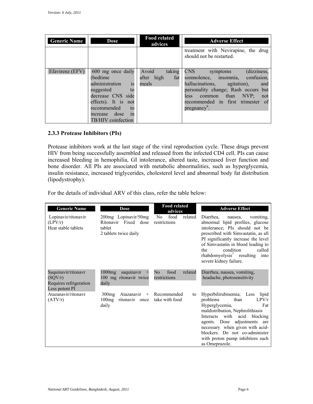| <b>Generic Name</b> | Dose                                                                                                                                                                              | <b>Food related</b><br>advices                | <b>Adverse Effect</b>                                                                                                                                                                                                                                            |
|---------------------|-----------------------------------------------------------------------------------------------------------------------------------------------------------------------------------|-----------------------------------------------|------------------------------------------------------------------------------------------------------------------------------------------------------------------------------------------------------------------------------------------------------------------|
|                     |                                                                                                                                                                                   |                                               | treatment with Nevirapine, the drug<br>should not be restarted.                                                                                                                                                                                                  |
| Efavirenz (EFV)     | 600 mg once daily<br>(bedtime)<br>is<br>administration<br>suggested<br>to<br>decrease CNS side<br>effects). It is not<br>recommended to<br>increase dose in<br>TB/HIV coinfection | Avoid<br>taking<br>fat<br>after high<br>meals | CNS <sub>2</sub><br>(dizziness,<br>symptoms<br>somnolence, insomnia, confusion,<br>hallucinations, agitation),<br>and<br>personality change; Rash occurs but<br>common than NVP;<br>less<br>not<br>recommended in first trimester of<br>pregnancy <sup>6</sup> . |

#### **2.3.3 Protease Inhibitors (PIs)**

Protease inhibitors work at the last stage of the viral reproduction cycle. These drugs prevent HIV from being successfully assembled and released from the infected CD4 cell. PIs can cause increased bleeding in hemophilia, GI intolerance, altered taste, increased liver function and bone disorder. All PIs are associated with metabolic abnormalities, such as hyperglycemia, insulin resistance, increased triglycerides, cholesterol level and abnormal body fat distribution (lipodystrophy).

For the details of individual ARV of this class, refer the table below:

| <b>Generic Name</b>                                                        | <b>Dose</b>                                                                     | <b>Food related</b><br>advices         | <b>Adverse Effect</b>                                                                                                                                                                                                                                                                                                     |
|----------------------------------------------------------------------------|---------------------------------------------------------------------------------|----------------------------------------|---------------------------------------------------------------------------------------------------------------------------------------------------------------------------------------------------------------------------------------------------------------------------------------------------------------------------|
| Lopinavir/ritonavir<br>(LPV/r)<br>Heat stable tablets                      | 200mg Lopinavir/50mg<br>Ritonavir Fixed dose<br>tablet<br>2 tablets twice daily | food<br>related<br>No.<br>restrictions | Diarrhea.<br>vomiting.<br>nausea,<br>abnormal lipid profiles, glucose<br>intolerance; PIs should not be<br>prescribed with Simvastatin, as all<br>PI significantly increase the level<br>of Simvastatin in blood leading to<br>condition<br>called<br>the<br>$rhabdomyolysis7$ resulting into<br>severe kidney failure.   |
| Saquinavir/ritonavr<br>(SQV/r)<br>Requires refrigeration<br>Less potent PI | $1000$ mg<br>saquinavir<br>100 mg ritonavir twice<br>daily                      | No<br>food<br>related<br>restrictions  | Diarrhea, nausea, vomiting,<br>headache, photosensitivity                                                                                                                                                                                                                                                                 |
| Atazanavir/ritonavr<br>(ATV/r)                                             | 300mg<br>Atazanavir<br>$^{+}$<br>100mg<br>ritonavir once<br>daily               | Recommended<br>to<br>take with food    | Hyperbilirubinemia; Less lipid<br>problems<br>than<br>LPV/r<br>Hyperglycemia,<br>Fat<br>maldistribution, Nephrolithiasis<br>Interacts with acid<br>blocking<br>adjustments are<br>agents. Dose<br>necessary when given with acid-<br>blockers. Do not co-administer<br>with proton pump inhibitors such<br>as Omeprazole. |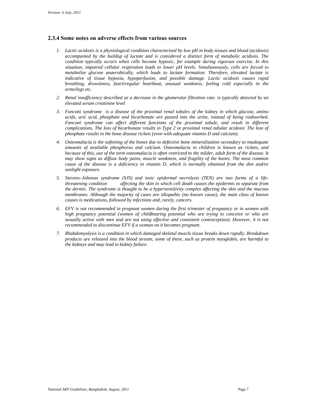#### **2.3.4 Some notes on adverse effects from various sources**

- *1. Lactic acidosis is a physiological condition characterized by low pH in body tissues and blood (acidosis) metabolize glucose anaerobically, which leads to lactate formation. Therefore, elevated lactate is indicative of tissue hypoxia, hypoperfusion, and possible damage. Lactic acidosis causes rapid breathing, drowsiness, fast/irregular heartbeat, unusual weakness, feeling cold especially in the accompanied by the buildup of lactate and is considered a distinct form of metabolic acidosis. The condition typically occurs when cells become hypoxic, for example during vigorous exercise. In this situation, impaired cellular respiration leads to lower pH levels. Simultaneously, cells are forced to arms/legs etc.*
- *2. Renal insufficiency described as a decrease in the glomerular filtration rate. is typically detected by an elevated serum creatinine level*
- *acids, uric acid, phosphate and bicarbonate are passed into the urine, instead of being reabsorbed.*  Fanconi syndrome can affect different functions of the proximal tubule, and result in different  *complications. The loss of bicarbonate results in Type 2 or proximal renal tubular acidosis. The loss of 3. Fanconi syndrome is a disease of the proximal renal tubules of the kidney in which glucose, amino phosphate results in the bone disease rickets (even with adequate vitamin D and calcium).*
- *4. Osteomalacia is the softening of the bones due to defective bone mineralization secondary to inadequate because of this, use of the term osteomalacia is often restricted to the milder, adult form of the disease. It may show signs as diffuse body pains, muscle weakness, and fragility of the bones. The most common cause of the disease is a deficiency in vitamin D, which is normally obtained from the diet and/or amounts of available phosphorus and calcium. Osteomalacia in children is known as rickets, and sunlight exposure.*
- *5. Stevens–Johnson syndrome (SJS) and toxic epidermal necrolysis (TEN) are two forms of a lifethreatening condition affecting the skin in which cell death causes the epidermis to separate from the dermis. The syndrome is thought to be a hypersensitivity complex affecting the skin and the mucous membranes. Although the majority of cases are idiopathic (no known cause), the main class of known causes is medications, followed by infections and, rarely, cancers.*
- *6. EFV is not recommended in pregnant women during the first trimester of pregnancy or in women with sexually active with men and are not using effective and consistent contraception). However, it is not high pregnancy potential (women of childbearing potential who are trying to conceive or who are recommended to discontinue EFV if a woman on it becomes pregnant.*
- *7. Rhabdomyolysis is a condition in which damaged skeletal muscle tissue breaks down rapidly. Breakdown products are released into the blood stream; some of these, such as protein myoglobin, are harmful to the kidneys and may lead to kidney failure.*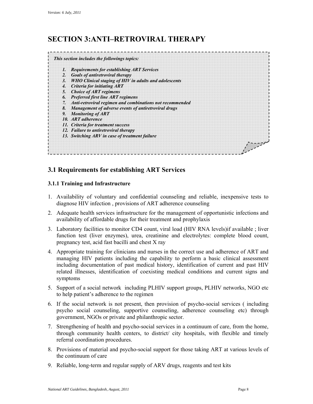### **SECTION 3:ANTI–RETROVIRAL THERAPY**



### **3.1 Requirements for establishing ART Services**

### **3.1.1 Training and Infrastructure**

- 1. Availability of voluntary and confidential counseling and reliable, inexpensive tests to diagnose HIV infection , provisions of ART adherence counseling
- 2. Adequate health services infrastructure for the management of opportunistic infections and availability of affordable drugs for their treatment and prophylaxis
- 3. Laboratory facilities to monitor CD4 count, viral load (HIV RNA levels) if available; liver function test (liver enzymes), urea, creatinine and electrolytes: complete blood count, pregnancy test, acid fast bacilli and chest X ray
- 4. Appropriate training for clinicians and nurses in the correct use and adherence of ART and managing HIV patients including the capability to perform a basic clinical assessment including documentation of past medical history, identification of current and past HIV related illnesses, identification of coexisting medical conditions and current signs and symptoms
- 5. Support of a social network including PLHIV support groups, PLHIV networks, NGO etc to help patient's adherence to the regimen
- 6. If the social network is not present, then provision of psycho-social services ( including psycho social counseling, supportive counseling, adherence counseling etc) through government, NGOs or private and philanthropic sector.
- 7. Strengthening of health and psycho-social services in a continuum of care, from the home, through community health centers, to district/ city hospitals, with flexible and timely referral coordination procedures.
- 8. Provisions of material and psycho-social support for those taking ART at various levels of the continuum of care
- 9. Reliable, long-term and regular supply of ARV drugs, reagents and test kits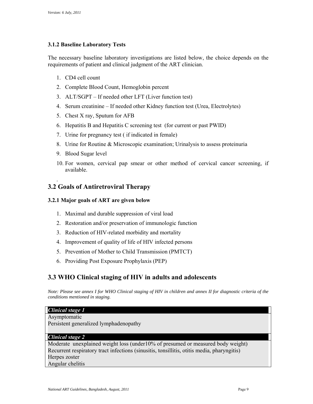### **3.1.2 Baseline Laboratory Tests**

The necessary baseline laboratory investigations are listed below, the choice depends on the requirements of patient and clinical judgment of the ART clinician.

- 1. CD4 cell count
- 2. Complete Blood Count, Hemoglobin percent
- 3. ALT/SGPT If needed other LFT (Liver function test)
- 4. Serum creatinine If needed other Kidney function test (Urea, Electrolytes)
- 5. Chest X ray, Sputum for AFB
- 6. Hepatitis B and Hepatitis C screening test (for current or past PWID)
- 7. Urine for pregnancy test ( if indicated in female)
- 8. Urine for Routine  $&$  Microscopic examination; Urinalysis to assess proteinuria
- 9. Blood Sugar level

.

 10. For women, cervical pap smear or other method of cervical cancer screening, if available.

### **3.2 Goals of Antiretroviral Therapy**

### **3.2.1 Major goals of ART are given below**

- 1. Maximal and durable suppression of viral load
- 2. Restoration and/or preservation of immunologic function
- 3. Reduction of HIV-related morbidity and mortality
- 4. Improvement of quality of life of HIV infected persons
- 5. Prevention of Mother to Child Transmission (PMTCT)
- 6. Providing Post Exposure Prophylaxis (PEP)

### **3.3 WHO Clinical staging of HIV in adults and adolescents**

*Note: Please see annex I for WHO Clinical staging of HIV in children and annex II for diagnostic criteria of the conditions mentioned in staging.* 

#### *Clinical stage 1*

Asymptomatic Persistent generalized lymphadenopathy

#### *Clinical stage 2*

Moderate unexplained weight loss (under10% of presumed or measured body weight) Recurrent respiratory tract infections (sinusitis, tonsillitis*,* otitis media, pharyngitis) Herpes zoster Angular chelitis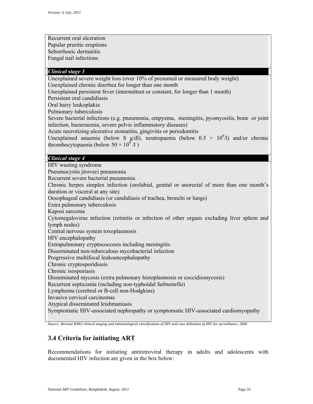Recurrent oral ulceration Papular pruritic eruptions Seborrhoeic dermatitis Fungal nail infections

### *Clinical stage 3*

 Unexplained severe weight loss (over 10% of presumed or measured body weight) Unexplained chronic diarrhea for longer than one month

Unexplained persistent fever (intermittent or constant, for longer than 1 month)

Persistent oral candidiasis

Oral hairy leukoplakia

Pulmonary tuberculosis

Severe bacterial infections (e.g. pneumonia, empyema, meningitis, pyomyositis, bone or joint infection, bacteraemia, severe pelvic inflammatory diseases)

Acute necrotizing ulcerative stomatitis, gingivitis or periodontitis

Unexplained anaemia (below 8 g/dl), neutropaenia (below  $0.5 \times 10^9$ /l) and/or chronic thrombocytopaenia (below  $50 \times 10^9 / 1$ )

### *Clinical stage 4*

HIV wasting syndrome

Pneumocystis jiroveci pneumonia

Recurrent severe bacterial pneumonia

Chronic herpes simplex infection (orolabial, genital or anorectal of more than one month's duration or visceral at any site)

Oesophageal candidiasis (or candidiasis of trachea, bronchi or lungs)

Extra pulmonary tuberculosis

Kaposi sarcoma

Cytomegalovirus infection (retinitis or infection of other organs excluding liver spleen and lymph nodes)

Central nervous system toxoplasmosis

HIV encephalopathy

Extrapulmonary cryptococcosis including meningitis

Disseminated non-tuberculous mycobacterial infection

Progressive multifocal leukoencephalopathy

Chronic cryptosporidiosis

Chronic isosporiasis

Disseminated mycosis (extra pulmonary histoplasmosis or coccidiomycosis)

Recurrent septicemia (including non-typhoidal *Salmonella*)

Lymphoma (cerebral or B-cell non-Hodgkins)

Invasive cervical carcinomas

Atypical disseminated leishmaniasis

Symptomatic HIV-associated nephropathy or symptomatic HIV-associated cardiomyopathy

 *Source: Revised WHO clinical staging and immunological classification of HIV and case definition of HIV for surveillance, 2006* 

### **3.4 Criteria for initiating ART**

 Recommendations for initiating antiretroviral therapy in adults and adolescents with documented HIV infection are given in the box below: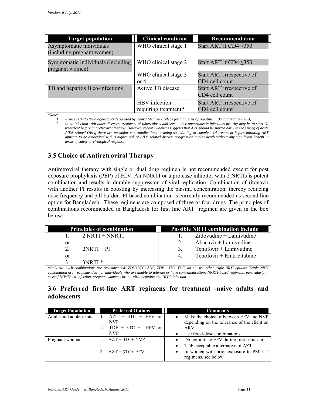| <b>Target population</b>                                                                                                 | <b>Clinical condition</b> | Recommendation              |
|--------------------------------------------------------------------------------------------------------------------------|---------------------------|-----------------------------|
| Asymptomatic individuals<br>(including pregnant women)                                                                   | WHO clinical stage 1      | Start ART if $CD4 \leq 350$ |
|                                                                                                                          |                           |                             |
| Symptomatic individuals (including                                                                                       | WHO clinical stage 2      | Start ART if $CD4 \leq 350$ |
| pregnant women)                                                                                                          |                           |                             |
|                                                                                                                          | WHO clinical stage 3      | Start ART irrespective of   |
|                                                                                                                          | or $4$                    | CD4 cell count              |
| TB and hepatitis B co-infections                                                                                         | Active TB disease         | Start ART irrespective of   |
|                                                                                                                          |                           | CD4 cell count              |
|                                                                                                                          | HBV infection             | Start ART irrespective of   |
|                                                                                                                          | requiring treatment*      | CD4 cell count              |
| $*Note:$                                                                                                                 |                           |                             |
| Please refer to the diagnostic criteria used by Dhaka Medical College for diagnosis of hepatitis in Bangladesh (annex 3) |                           |                             |

2. In co-infection with other diseases, treatment of tuberculosis and some other opportunistic infections priority may be to start OI  *appears to be associated with a higher risk of AIDS-related disease progression and/or death without any significant benefit in treatment before antiretroviral therapy. However, recent evidences suggests that ART should be started early in the setting of acute AIDS-related OIs if there are no major contraindications to doing so. Waiting to complete OI treatment before initiating ART terms of safety or virological response*.

### **3.5 Choice of Antiretroviral Therapy**

Antiretroviral therapy with single or dual drug regimen is not recommended except for post exposure prophylaxis (PEP) of HIV. An NNRTI or a protease inhibitor with 2 NRTIs is potent combination and results in durable suppression of viral replication. Combination of ritonavir with another PI results in boosting by increasing the plasma concentration, thereby reducing dose frequency and pill burden. PI based combination is currently recommended as second line option for Bangladesh. These regimens are composed of three or four drugs. The principles of combinations recommended in Bangladesh for first line ART regimen are given in the box below:

| <b>Principles of combination</b> | <b>Possible NRTI combination include</b> |
|----------------------------------|------------------------------------------|
| $2$ NRTI + NNRTI                 | $Zidovudine + Lamivudine$                |
| or                               | Abacavir $+$ Lamivudine                  |
| $2NRTI + PI$<br>$\mathcal{D}$    | $Tenofovir + Lamivudine$<br>3            |
| or                               | $Tenofovir + Emtricitabine$<br>4         |
| 3NRTI *                          |                                          |

 *\*Only two such combinations are recommended: ZDV+3TC+ABC, ZDV +3TC+TDF, do not use other triple NRTI options. Triple NRTI combination are recommended for individuals who are unable to tolerate or have contraindications NNRTI-based regimens, particularly in case of HIV/TB co-infection, pregnant women, chronic viral hepatitis and HIV 2 infection* 

### **3.6 Preferred first-line ART regimens for treatment -naive adults and adolescents**

| <b>Target Population</b> | <b>Preferred Options</b> | <b>Comments</b>                                     |
|--------------------------|--------------------------|-----------------------------------------------------|
| Adults and adolescents   | $AZT + 3TC + EFV$ or     | Make the choice of between EFV and NVP<br>$\bullet$ |
|                          | NVP                      | depending on the tolerance of the client on         |
|                          | $TDF + 3TC + EFV$ or     | ARV                                                 |
|                          | <b>NVP</b>               | Use fixed-dose combinations                         |
| Pregnant women           | $AZT + 3TC + NVP$        | Do not initiate EFV during first trimester          |
|                          |                          | TDF acceptable alternative of AZT<br>٠              |
|                          | 2. $AZT + 3TC + EFV$     | In women with prior exposure to PMTCT<br>$\bullet$  |
|                          |                          | regimens, see below                                 |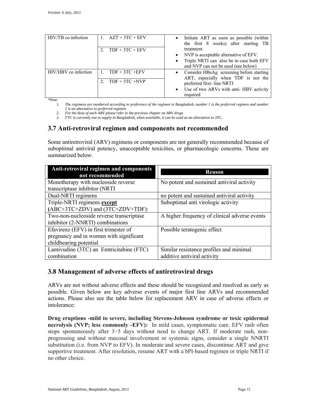| HIV/TB co infection  | 1. $AZT + 3TC + EFV$ | • Initiate ART as soon as possible (within<br>the first 8 weeks) after starting TB |
|----------------------|----------------------|------------------------------------------------------------------------------------|
|                      | $TDF + 3TC + EFV$    | treatment                                                                          |
|                      |                      | • NVP is acceptable alternative of EFV.                                            |
|                      |                      | Triple NRTI can also be in case both EFV<br>$\bullet$                              |
|                      |                      | and NVP can not be used (see below)                                                |
| HIV/HBV co infection | 1. $TDF + 3TC + EFV$ | • Consider HBsAg screening before starting<br>ART, especially when TDF is not the  |
|                      | $TDF + 3TC + NVP$    | preferred first-line NRTI                                                          |
|                      |                      | Use of two ARVs with anti-HBV activity<br>$\bullet$                                |
|                      |                      | required                                                                           |

*\*Note:* 

*1. The regimens are numbered according to preference of the regimen in Bangladesh, number 1 is the preferred regimen and number 2 is an alternative to preferred regimen* 

2. For the dose of each ARV please refer to the previous chapter on ARV drugs

 *3. FTC is currently not in supply in Bangladesh, when available, it can be used as an alternative to 3TC.* 

### **3.7 Anti-retroviral regimen and components not recommended**

Some antiretroviral (ARV) regimens or components are not generally recommended because of suboptimal antiviral potency, unacceptable toxicities, or pharmacologic concerns. These are summarized below.

| Anti-retroviral regimen and components<br>not recommended | <b>Reason</b>                                 |
|-----------------------------------------------------------|-----------------------------------------------|
| Monotherapy with nucleoside reverse                       | No potent and sustained antiviral activity    |
| transcriptase inhibitor (NRTI                             |                                               |
| Dual-NRTI regimens                                        | no potent and sustained antiviral activity    |
| Triple-NRTI regimens except                               | Suboptimal anti virologic activity            |
| (ABC+3TC+ZDV) and (3TC+ZDV+TDF):                          |                                               |
| Two-non-nucleoside reverse transcriptase                  | A higher frequency of clinical adverse events |
| inhibitor (2-NNRTI) combinations                          |                                               |
| Efavirenz (EFV) in first trimester of                     | Possible teratogenic effect                   |
| pregnancy and in women with significant                   |                                               |
| childbearing potential                                    |                                               |
| Lamivudine (3TC) an Emtricitabine (FTC)                   | Similar resistance profiles and minimal       |
| combination                                               | additive antiviral activity                   |

### **3.8 Management of adverse effects of antiretroviral drugs**

 actions. Please also see the table below for replacement ARV in case of adverse effects or ARVs are not without adverse effects and these should be recognized and resolved as early as possible. Given below are key adverse events of major first line ARVs and recommended intolerance:

**Drug eruptions -mild to severe, including Stevens-Johnson syndrome or toxic epidermal necrolysis (NVP; less commonly -EFV):** In mild cases, symptomatic care. EFV rash often stops spontaneously after 3−5 days without need to change ART. If moderate rash, nonprogressing and without mucosal involvement or systemic signs, consider a single NNRTI substitution (i.e. from NVP to EFV). In moderate and severe cases, discontinue ART and give supportive treatment. After resolution, resume ART with a bPI-based regimen or triple NRTI if no other choice.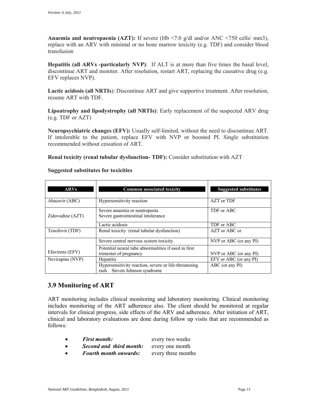**Anaemia and neutropaenia (AZT):** If severe (Hb <7.0 g/dl and/or ANC <750 cells/ mm3), replace with an ARV with minimal or no bone marrow toxicity (e.g. TDF) and consider blood transfusion

 **Hepatitis (all ARVs -particularly NVP)**: If ALT is at more than five times the basal level, discontinue ART and monitor. After resolution, restart ART, replacing the causative drug (e.g. EFV replaces NVP).

**Lactic acidosis (all NRTIs**): Discontinue ART and give supportive treatment. After resolution, resume ART with TDF.

 **Lipoatrophy and lipodystrophy (all NRTIs)**: Early replacement of the suspected ARV drug (e.g. TDF or AZT)

 **Neuropsychiatric changes (EFV):** Usually self-limited, without the need to discontinue ART. If intolerable to the patient, replace EFV with NVP or boosted PI. Single substitution recommended without cessation of ART.

**Renal toxicity (renal tubular dysfunction- TDF):** Consider substitution with AZT

| <b>ARVs</b>      | <b>Common associated toxicity</b>                                                     | <b>Suggested substitutes</b> |
|------------------|---------------------------------------------------------------------------------------|------------------------------|
| Abacavir (ABC)   | Hypersensitivity reaction                                                             | AZT or TDF                   |
| Zidovudine (AZT) | Severe anaemia or neutropenia<br>Severe gastrointestinal intolerance                  | TDF or ABC                   |
|                  | Lactic acidosis                                                                       | TDF or ABC                   |
| Tenofovir (TDF)  | Renal toxicity (renal tubular dysfunction)                                            | AZT or ABC or                |
|                  | Severe central nervous system toxicity                                                | NVP or ABC (or any PI)       |
| Efavirenz (EFV)  | Potential neural tube abnormalities if used in first<br>trimester of pregnancy        | NVP or ABC (or any PI)       |
| Nevirapine (NVP) | <b>Hepatitis</b>                                                                      | EFV or ABC (or any PI)       |
|                  | Hypersensitivity reaction, severe or life-threatening<br>rash Steven Johnson syndrome | ABC (or any PI)              |

#### **Suggested substitutes for toxicities**

### **3.9 Monitoring of ART**

ART monitoring includes clinical monitoring and laboratory monitoring. Clinical monitoring includes monitoring of the ART adherence also. The client should be monitored at regular intervals for clinical progress, side effects of the ARV and adherence. After initiation of ART, clinical and laboratory evaluations are done during follow up visits that are recommended as follows:

- **First month:** every two weeks
- *Second and third month:* every one month
- *Fourth month onwards:* every three months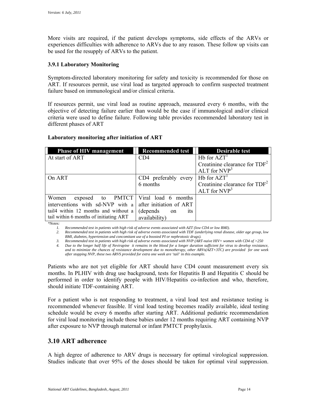experiences difficulties with adherence to ARVs due to any reason. These follow up visits can be used for the resupply of ARVs to the patient. More visits are required, if the patient develops symptoms, side effects of the ARVs or

### **3.9.1 Laboratory Monitoring**

Symptom-directed laboratory monitoring for safety and toxicity is recommended for those on ART. If resources permit, use viral load as targeted approach to confirm suspected treatment failure based on immunological and/or clinical criteria.

If resources permit, use viral load as routine approach, measured every 6 months, with the objective of detecting failure earlier than would be the case if immunological and/or clinical criteria were used to define failure. Following table provides recommended laboratory test in different phases of ART

### **Laboratory monitoring after initiation of ART**

| <b>Phase of HIV management</b>                  | <b>Recommended test</b>            | <b>Desirable test</b>           |
|-------------------------------------------------|------------------------------------|---------------------------------|
| At start of ART                                 | CD4                                | $Hb$ for $AZT1$                 |
|                                                 |                                    | Creatinine clearance for $TDF2$ |
|                                                 |                                    | ALT for $NVP3$                  |
| On ART                                          | CD4 preferably every               | $Hb$ for $AZT1$                 |
|                                                 | 6 months                           | Creatinine clearance for $TDF2$ |
|                                                 |                                    | ALT for $NVP3$                  |
| exposed to PMTCT   Viral load 6 months<br>Women |                                    |                                 |
| interventions with sd-NVP with a                | after initiation of ART            |                                 |
| tail4 within 12 months and without a            | (depends)<br><sub>1</sub> ts<br>on |                                 |
| tail within 6 months of initiating ART          | availability)                      |                                 |

*\*Notes:* 

 *1. Recommended test in patients with high risk of adverse events associated with AZT (low CD4 or low BMI).* 

*2. Recommended test in patients with high risk of adverse events associated with TDF (underlying renal disease, older age group, low BMI, diabetes, hypertension and concomitant use of a boosted PI or nephrotoxic drugs).* 

*3. Recommended test in patients with high risk of adverse events associated with NVP (ART-naive HIV+ women with CD4 of >250* 

 *4. Due to the longer half life of Nevirapine it remains in the blood for a longer duration sufficient for virus to develop resistance, and to minimize the chances of resistance development due to monotherapy, other ARVs(AZT+3TC) are provided for one week after stopping NVP, these two ARVS provided for extra one week are 'tail' in this example.* 

 Patients who are not yet eligible for ART should have CD4 count measurement every six months. In PLHIV with drug use background, tests for Hepatitis B and Hepatitis C should be performed in order to identify people with HIV/Hepatitis co-infection and who, therefore, should initiate TDF-containing ART.

For a patient who is not responding to treatment, a viral load test and resistance testing is recommended whenever feasible. If viral load testing becomes readily available, ideal testing schedule would be every 6 months after starting ART. Additional pediatric recommendation for viral load monitoring include those babies under 12 months requiring ART containing NVP after exposure to NVP through maternal or infant PMTCT prophylaxis.

### **3.10 ART adherence**

A high degree of adherence to ARV drugs is necessary for optimal virological suppression. Studies indicate that over 95% of the doses should be taken for optimal viral suppression.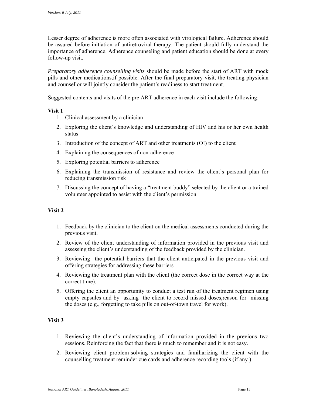Lesser degree of adherence is more often associated with virological failure. Adherence should be assured before initiation of antiretroviral therapy. The patient should fully understand the importance of adherence. Adherence counseling and patient education should be done at every follow-up visit.

*Preparatory adherence counselling visits* should be made before the start of ART with mock pills and other medications,if possible. After the final preparatory visit, the treating physician and counsellor will jointly consider the patient's readiness to start treatment.

Suggested contents and visits of the pre ART adherence in each visit include the following:

#### **Visit 1**

- 1. Clinical assessment by a clinician
- 2. Exploring the client's knowledge and understanding of HIV and his or her own health status
- 3. Introduction of the concept of ART and other treatments (OI) to the client
- 4. Explaining the consequences of non-adherence
- 5. Exploring potential barriers to adherence
- 6. Explaining the transmission of resistance and review the client's personal plan for reducing transmission risk
- 7. Discussing the concept of having a "treatment buddy" selected by the client or a trained volunteer appointed to assist with the client's permission

### **Visit 2**

- 1. Feedback by the clinician to the client on the medical assessments conducted during the previous visit.
- 2. Review of the client understanding of information provided in the previous visit and assessing the client's understanding of the feedback provided by the clinician.
- 3. Reviewing the potential barriers that the client anticipated in the previous visit and offering strategies for addressing these barriers
- 4. Reviewing the treatment plan with the client (the correct dose in the correct way at the correct time).
- empty capsules and by asking the client to record missed doses,reason for missing 5. Offering the client an opportunity to conduct a test run of the treatment regimen using the doses (e.g., forgetting to take pills on out-of-town travel for work).

#### **Visit 3**

- 1. Reviewing the client's understanding of information provided in the previous two sessions. Reinforcing the fact that there is much to remember and it is not easy.
- 2. Reviewing client problem-solving strategies and familiarizing the client with the counselling treatment reminder cue cards and adherence recording tools (if any ).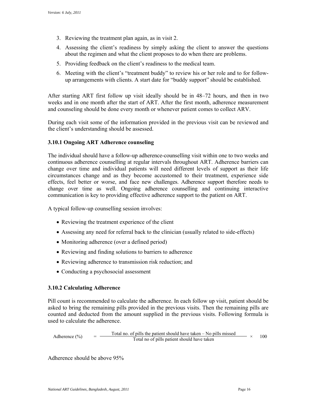- 3. Reviewing the treatment plan again, as in visit 2.
- 4. Assessing the client's readiness by simply asking the client to answer the questions about the regimen and what the client proposes to do when there are problems.
- 5. Providing feedback on the client's readiness to the medical team.
- 6. Meeting with the client's "treatment buddy" to review his or her role and to for follow-up arrangements with clients. A start date for "buddy support" should be established.

 weeks and in one month after the start of ART. After the first month, adherence measurement After starting ART first follow up visit ideally should be in 48–72 hours, and then in two and counseling should be done every month or whenever patient comes to collect ARV.

 During each visit some of the information provided in the previous visit can be reviewed and the client's understanding should be assessed.

### **3.10.1 Ongoing ART Adherence counseling**

 The individual should have a follow-up adherence-counselling visit within one to two weeks and continuous adherence counselling at regular intervals throughout ART. Adherence barriers can circumstances change and as they become accustomed to their treatment, experience side effects, feel better or worse, and face new challenges. Adherence support therefore needs to change over time as well. Ongoing adherence counselling and continuing interactive change over time and individual patients will need different levels of support as their life communication is key to providing effective adherence support to the patient on ART.

A typical follow-up counselling session involves:

- Reviewing the treatment experience of the client
- Assessing any need for referral back to the clinician (usually related to side-effects)
- Monitoring adherence (over a defined period)
- Reviewing and finding solutions to barriers to adherence
- Reviewing adherence to transmission risk reduction; and
- Conducting a psychosocial assessment

#### **3.10.2 Calculating Adherence**

Pill count is recommended to calculate the adherence. In each follow up visit, patient should be asked to bring the remaining pills provided in the previous visits. Then the remaining pills are counted and deducted from the amount supplied in the previous visits. Following formula is used to calculate the adherence.

Adherence (%) = 
$$
\frac{\text{Total no. of pills the patient should have taken - No pills missed}}{\text{Total no of pills patient should have taken}} \times 100
$$

Adherence should be above 95%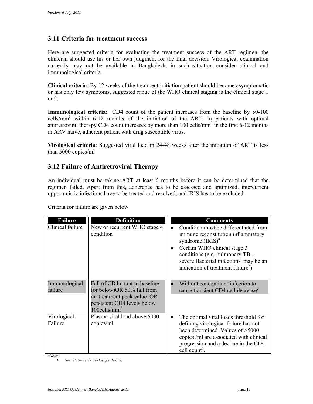### **3.11 Criteria for treatment success**

 immunological criteria. Here are suggested criteria for evaluating the treatment success of the ART regimen, the clinician should use his or her own judgment for the final decision. Virological examination currently may not be available in Bangladesh, in such situation consider clinical and

 **Clinical criteria**: By 12 weeks of the treatment initiation patient should become asymptomatic or has only few symptoms, suggested range of the WHO clinical staging is the clinical stage 1 or  $2$ .

**Immunological criteria**: CD4 count of the patient increases from the baseline by 50-100 cells/mm3 within 6-12 months of the initiation of the ART. In patients with optimal antiretroviral therapy CD4 count increases by more than  $100$  cells/mm<sup>3</sup> in the first 6-12 months in ARV naive, adherent patient with drug susceptible virus.

**Virological criteria**: Suggested viral load in 24-48 weeks after the initiation of ART is less than 5000 copies/ml

### **3.12 Failure of Antiretroviral Therapy**

 opportunistic infections have to be treated and resolved, and IRIS has to be excluded. Criteria for failure are given below An individual must be taking ART at least 6 months before it can be determined that the regimen failed. Apart from this, adherence has to be assessed and optimized, intercurrent

| <b>Failure</b>                      | <b>Definition</b>                                                                                                                                        |           | <b>Comments</b>                                                                                                                                                                                                                                                                   |
|-------------------------------------|----------------------------------------------------------------------------------------------------------------------------------------------------------|-----------|-----------------------------------------------------------------------------------------------------------------------------------------------------------------------------------------------------------------------------------------------------------------------------------|
| Clinical failure                    | New or recurrent WHO stage 4<br>condition                                                                                                                | $\bullet$ | Condition must be differentiated from<br>immune reconstitution inflammatory<br>syndrome $\left(\text{IRIS}\right)^a$<br>Certain WHO clinical stage 3<br>conditions (e.g. pulmonary TB,<br>severe Bacterial infections may be an<br>indication of treatment failure <sup>b</sup> ) |
| Immunological<br>failure            | Fall of CD4 count to baseline<br>(or below) OR 50% fall from<br>on-treatment peak value OR<br>persistent CD4 levels below<br>$100$ cells/mm <sup>3</sup> |           | Without concomitant infection to<br>cause transient CD4 cell decrease <sup>c</sup>                                                                                                                                                                                                |
| Virological<br>Failure<br>$*Notes:$ | Plasma viral load above 5000<br>copies/ml                                                                                                                | $\bullet$ | The optimal viral loads threshold for<br>defining virological failure has not<br>been determined. Values of >5000<br>copies /ml are associated with clinical<br>progression and a decline in the CD4<br>cell count <sup>d</sup> .                                                 |

*<sup>1.</sup> See related section below for details.*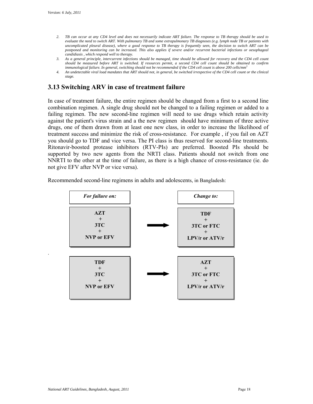.

- *evaluate the need to switch ART. With pulmonary TB and some extrapulmonary TB diagnoses (e.g. lymph node TB or patients with uncomplicated pleural disease), where a good response to TB therapy is frequently seen, the decision to switch ART can be candidiasis , which respond well to therapy. 2. TB can occur at any CD4 level and does not necessarily indicate ART failure. The response to TB therapy should be used to postponed and monitoring can be increased. This also applies if severe and/or recurrent bacterial infections or oesophageal*
- *3. As a general principle, intercurrent infections should be managed, time should be allowed for recovery and the CD4 cell count should be measured before ART is switched. If resources permit, a second CD4 cell count should be obtained to confirm immunological failure. In general, switching should not be recommended if the CD4 cell count is above 200 cells/mm3*
- *4. An undetectable viral load mandates that ART should not, in general, be switched irrespective of the CD4 cell count or the clinical stage.*

### **3.13 Switching ARV in case of treatment failure**

 against the patient's virus strain and a the new regimen should have minimum of three active drugs, one of them drawn from at least one new class, in order to increase the likelihood of you should go to TDF and vice versa. The PI class is thus reserved for second-line treatments. Ritonavir-boosted protease inhibitors (RTV-PIs) are preferred. Boosted PIs should be In case of treatment failure, the entire regimen should be changed from a first to a second line combination regimen. A single drug should not be changed to a failing regimen or added to a failing regimen. The new second-line regimen will need to use drugs which retain activity treatment success and minimize the risk of cross-resistance. For example , if you fail on AZT supported by two new agents from the NRTI class. Patients should not switch from one NNRTI to the other at the time of failure, as there is a high chance of cross-resistance (ie. do not give EFV after NVP or vice versa).

Recommended second-line regimens in adults and adolescents, in Bangladesh:

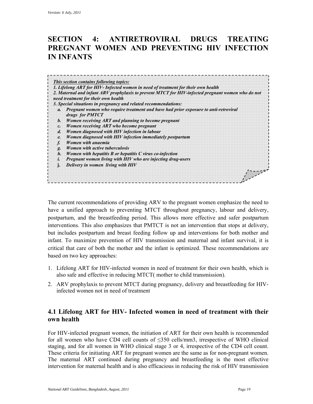### **SECTION 4: ANTIRETROVIRAL DRUGS TREATING PREGNANT WOMEN AND PREVENTING HIV INFECTION IN INFANTS**

|                 | This section contains following topics:<br>1. Lifelong ART for HIV- Infected women in need of treatment for their own health<br>2. Maternal and infant ARV prophylaxis to prevent MTCT for HIV-infected pregnant women who do not |
|-----------------|-----------------------------------------------------------------------------------------------------------------------------------------------------------------------------------------------------------------------------------|
|                 | need treatment for their own health<br>3. Special situations in pregnancy and related recommendations:                                                                                                                            |
|                 | a. Pregnant women who require treatment and have had prior exposure to anti-retroviral<br>drugs for PMTCT                                                                                                                         |
| <i>b</i> .      | Women receiving ART and planning to become pregnant                                                                                                                                                                               |
| $\mathcal{C}$ . | Women receiving ART who become pregnant                                                                                                                                                                                           |
| $\mathfrak{a}.$ | Women diagnosed with HIV infection in labour                                                                                                                                                                                      |
| e.              | Women diagnosed with HIV infection immediately postpartum                                                                                                                                                                         |
| f.              | Women with anaemia                                                                                                                                                                                                                |
| g.              | <b>Women with active tuberculosis</b>                                                                                                                                                                                             |
| h.              | Women with hepatitis B or hepatitis C virus co-infection                                                                                                                                                                          |
|                 | Pregnant women living with HIV who are injecting drug-users                                                                                                                                                                       |
|                 | Delivery in women living with HIV                                                                                                                                                                                                 |
|                 |                                                                                                                                                                                                                                   |

 have a unified approach to preventing MTCT throughout pregnancy, labour and delivery, The current recommendations of providing ARV to the pregnant women emphasize the need to postpartum, and the breastfeeding period. This allows more effective and safer postpartum interventions. This also emphasizes that PMTCT is not an intervention that stops at delivery, but includes postpartum and breast feeding follow up and interventions for both mother and infant. To maximize prevention of HIV transmission and maternal and infant survival, it is critical that care of both the mother and the infant is optimized. These recommendations are based on two key approaches:

- 1. Lifelong ART for HIV-infected women in need of treatment for their own health, which is also safe and effective in reducing MTCT( mother to child transmission).
- 2. ARV prophylaxis to prevent MTCT during pregnancy, delivery and breastfeeding for HIVinfected women not in need of treatment

### **4.1 Lifelong ART for HIV- Infected women in need of treatment with their own health**

For HIV-infected pregnant women, the initiation of ART for their own health is recommended for all women who have CD4 cell counts of ≤350 cells/mm3, irrespective of WHO clinical staging, and for all women in WHO clinical stage 3 or 4, irrespective of the CD4 cell count. These criteria for initiating ART for pregnant women are the same as for non-pregnant women. The maternal ART continued during pregnancy and breastfeeding is the most effective intervention for maternal health and is also efficacious in reducing the risk of HIV transmission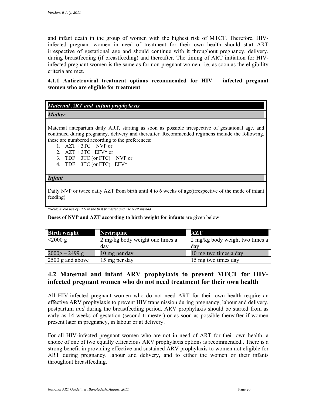irrespective of gestational age and should continue with it throughout pregnancy, delivery, and infant death in the group of women with the highest risk of MTCT. Therefore, HIVinfected pregnant women in need of treatment for their own health should start ART during breastfeeding (if breastfeeding) and thereafter. The timing of ART initiation for HIVinfected pregnant women is the same as for non-pregnant women, i.e. as soon as the eligibility criteria are met.

### **4.1.1 Antiretroviral treatment options recommended for HIV – infected pregnant women who are eligible for treatment**

| <b>Maternal ART and infant prophylaxis</b> |  |
|--------------------------------------------|--|
|                                            |  |

*Mother* 

Maternal antepartum daily ART, starting as soon as possible irrespective of gestational age, and continued during pregnancy, delivery and thereafter. Recommended regimens include the following, these are numbered according to the preferences:

- 1.  $AZT + 3TC + NVP$  or
- 2.  $AZT + 3TC + EFV^*$  or
- 3. TDF + 3TC (or FTC) + NVP or
- 4. TDF + 3TC (or FTC) + $E$ FV\*

### *Infant*

 Daily NVP or twice daily AZT from birth until 4 to 6 weeks of age(irrespective of the mode of infant feeding)

*\*Note: Avoid use of EFV in the first trimester and use NVP instead* 

**Doses of NVP and AZT according to birth weight for infants** are given below:

| <b>Birth weight</b>      | <b>Nevirapine</b>               | <b>AZT</b>                      |
|--------------------------|---------------------------------|---------------------------------|
| $< 2000 \text{ g}$       | 2 mg/kg body weight one times a | 2 mg/kg body weight two times a |
|                          | day                             | da v                            |
| $2000g - 2499g$          | 10 mg per day                   | 10 mg two times a day           |
| $\vert$ 2500 g and above | 15 mg per day                   | 15 mg two times day             |

### **4.2 Maternal and infant ARV prophylaxis to prevent MTCT for HIVinfected pregnant women who do not need treatment for their own health**

All HIV-infected pregnant women who do not need ART for their own health require an effective ARV prophylaxis to prevent HIV transmission during pregnancy, labour and delivery, postpartum *and* during the breastfeeding period. ARV prophylaxis should be started from as early as 14 weeks of gestation (second trimester) or as soon as possible thereafter if women present later in pregnancy, in labour or at delivery.

 choice of one of two equally efficacious ARV prophylaxis options is recommended.. There is a For all HIV-infected pregnant women who are not in need of ART for their own health, a strong benefit in providing effective and sustained ARV prophylaxis to women not eligible for ART during pregnancy, labour and delivery, and to either the women or their infants throughout breastfeeding.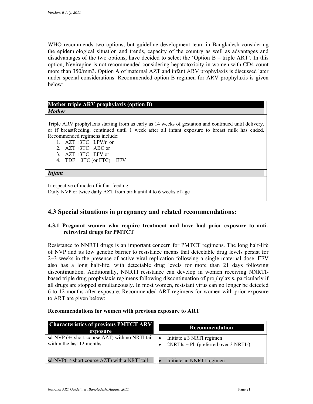option, Nevirapine is not recommended considering hepatotoxicity in women with CD4 count WHO recommends two options, but guideline development team in Bangladesh considering the epidemiological situation and trends, capacity of the country as well as advantages and disadvantages of the two options, have decided to select the 'Option B – triple ART'. In this more than 350/mm3. Option A of maternal AZT and infant ARV prophylaxis is discussed later under special considerations. Recommended option B regimen for ARV prophylaxis is given below:

### **Mother triple ARV prophylaxis (option B)**  *Mother*

Triple ARV prophylaxis starting from as early as 14 weeks of gestation and continued until delivery, or if breastfeeding, continued until 1 week after all infant exposure to breast milk has ended. Recommended regimens include:

- 1. AZT +3TC +LPV/r or
- 2. AZT +3TC +ABC or
- 3. AZT +3TC +EFV or
- 4. TDF  $+3TC$  (or FTC)  $+EFV$

#### *Infant*

 Irrespective of mode of infant feeding Daily NVP or twice daily AZT from birth until 4 to 6 weeks of age

### **4.3 Special situations in pregnancy and related recommendations:**

### **4.3.1 Pregnant women who require treatment and have had prior exposure to antiretroviral drugs for PMTCT**

 of NVP and its low genetic barrier to resistance means that detectable drug levels persist for also has a long half-life, with detectable drug levels for more than 21 days following all drugs are stopped simultaneously. In most women, resistant virus can no longer be detected Resistance to NNRTI drugs is an important concern for PMTCT regimens. The long half-life 2−3 weeks in the presence of active viral replication following a single maternal dose .EFV discontinuation. Additionally, NNRTI resistance can develop in women receiving NNRTIbased triple drug prophylaxis regimens following discontinuation of prophylaxis, particularly if 6 to 12 months after exposure. Recommended ART regimens for women with prior exposure to ART are given below:

| <b>Characteristics of previous PMTCT ARV</b><br>exposure                                 | Recommendation                                                      |
|------------------------------------------------------------------------------------------|---------------------------------------------------------------------|
| sd-NVP $(+/-$ short-course AZT) with no NRTI tail $\bullet$<br>within the last 12 months | Initiate a 3 NRTI regimen<br>$2NRTIs + Pl$ (preferred over 3 NRTIs) |
| sd-NVP $(+$ -short course AZT) with a NRTI tail                                          | Initiate an NNRTI regimen                                           |

#### **Recommendations for women with previous exposure to ART**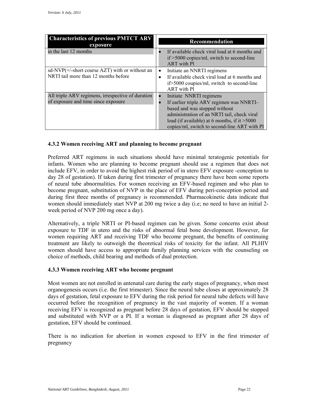| <b>Characteristics of previous PMTCT ARV</b><br>exposure | <b>Recommendation</b>                                                                         |
|----------------------------------------------------------|-----------------------------------------------------------------------------------------------|
| in the last 12 months                                    | If available check viral load at 6 months and<br>$if > 5000$ copies/ml, switch to second-line |
|                                                          | ART with Pl                                                                                   |
| sd-NVP $(+$ -short course AZT) with or without an        | Initiate an NNRTI regimens                                                                    |
| NRTI tail more than 12 months before                     | If available check viral load at 6 months and                                                 |
|                                                          | $if > 5000$ coupies/ml, switch to second-line                                                 |
|                                                          | <b>ART</b> with Pl                                                                            |
| All triple ARV regimens, irrespective of duration        | Initiate NNRTI regimens                                                                       |
| of exposure and time since exposure                      | If earlier triple ARV regimen was NNRTI-                                                      |
|                                                          | based and was stopped without                                                                 |
|                                                          | administration of an NRTI tail, check viral                                                   |
|                                                          | load (if available) at 6 months, if it $>5000$                                                |
|                                                          | copies/ml, switch to second-line ART with Pl                                                  |

#### **4.3.2 Women receiving ART and planning to become pregnant**

 become pregnant, substitution of NVP in the place of EFV during peri-conception period and women should immediately start NVP at 200 mg twice a day (i.e; no need to have an initial 2 week period of NVP 200 mg once a day). Preferred ART regimens in such situations should have minimal teratogenic potentials for infants. Women who are planning to become pregnant should use a regimen that does not include EFV, in order to avoid the highest risk period of in utero EFV exposure -conception to day 28 of gestation). If taken during first trimester of pregnancy there have been some reports of neural tube abnormalities. For women receiving an EFV-based regimen and who plan to during first three months of pregnancy is recommended. Pharmacokinetic data indicate that

 Alternatively, a triple NRTI or PI-based regimen can be given. Some concerns exist about exposure to TDF in utero and the risks of abnormal fetal bone development. However, for women requiring ART and receiving TDF who become pregnant, the benefits of continuing treatment are likely to outweigh the theoretical risks of toxicity for the infant. All PLHIV women should have access to appropriate family planning services with the counseling on choice of methods, child bearing and methods of dual protection.

#### **4.3.3 Women receiving ART who become pregnant**

 Most women are not enrolled in antenatal care during the early stages of pregnancy, when most occurred before the recognition of pregnancy in the vast majority of women. If a woman and substituted with NVP or a PI. If a woman is diagnosed as pregnant after 28 days of gestation, EFV should be continued. organogenesis occurs (i.e. the first trimester). Since the neural tube closes at approximately 28 days of gestation, fetal exposure to EFV during the risk period for neural tube defects will have receiving EFV is recognized as pregnant before 28 days of gestation, EFV should be stopped

There is no indication for abortion in women exposed to EFV in the first trimester of pregnancy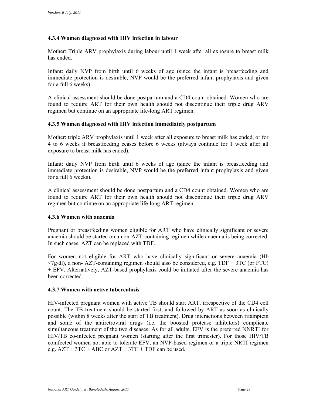### **4.3.4 Women diagnosed with HIV infection in labour**

Mother: Triple ARV prophylaxis during labour until 1 week after all exposure to breast milk has ended.

 Infant: daily NVP from birth until 6 weeks of age (since the infant is breastfeeding and immediate protection is desirable, NVP would be the preferred infant prophylaxis and given for a full 6 weeks).

A clinical assessment should be done postpartum and a CD4 count obtained. Women who are found to require ART for their own health should not discontinue their triple drug ARV regimen but continue on an appropriate life-long ART regimen.

#### **4.3.5 Women diagnosed with HIV infection immediately postpartum**

 Mother: triple ARV prophylaxis until 1 week after all exposure to breast milk has ended, or for 4 to 6 weeks if breastfeeding ceases before 6 weeks (always continue for 1 week after all exposure to breast milk has ended).

 Infant: daily NVP from birth until 6 weeks of age (since the infant is breastfeeding and immediate protection is desirable, NVP would be the preferred infant prophylaxis and given for a full 6 weeks).

A clinical assessment should be done postpartum and a CD4 count obtained. Women who are found to require ART for their own health should not discontinue their triple drug ARV regimen but continue on an appropriate life-long ART regimen.

#### **4.3.6 Women with anaemia**

 anaemia should be started on a non-AZT-containing regimen while anaemia is being corrected. Pregnant or breastfeeding women eligible for ART who have clinically significant or severe In such cases, AZT can be replaced with TDF.

For women not eligible for ART who have clinically significant or severe anaemia (Hb  $\langle 7g/dl$ , a non-AZT-containing regimen should also be considered, e.g. TDF + 3TC (or FTC) + EFV. Alternatively, AZT-based prophylaxis could be initiated after the severe anaemia has been corrected.

#### **4.3.7 Women with active tuberculosis**

HIV-infected pregnant women with active TB should start ART, irrespective of the CD4 cell count. The TB treatment should be started first, and followed by ART as soon as clinically possible (within 8 weeks after the start of TB treatment). Drug interactions between rifampicin and some of the antiretroviral drugs (i.e. the boosted protease inhibitors) complicate simultaneous treatment of the two diseases. As for all adults, EFV is the preferred NNRTI for HIV/TB co-infected pregnant women (starting after the first trimester). For those HIV/TB coinfected women not able to tolerate EFV, an NVP-based regimen or a triple NRTI regimen e.g.  $AZT + 3TC + ABC$  or  $AZT + 3TC + TDF$  can be used.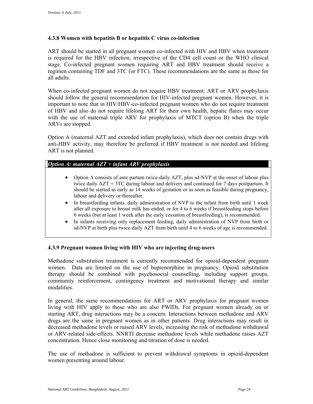### **4.3.8 Women with hepatitis B or hepatitis C virus co-infection**

 regimen containing TDF and 3TC (or FTC). These recommendations are the same as those for ART should be started in all pregnant women co-infected with HIV and HBV when treatment is required for the HBV infection, irrespective of the CD4 cell count or the WHO clinical stage. Co-infected pregnant women requiring ART and HBV treatment should receive a all adults.

 important to note that in HIV/HBV-co-infected pregnant women who do not require treatment When co-infected pregnant women do not require HBV treatment; ART or ARV prophylaxis should follow the general recommendation for HIV-infected pregnant women. However, it is of HBV and also do not require lifelong ART for their own health, hepatic flares may occur with the use of maternal triple ARV for prophylaxis of MTCT (option B) when the triple ARVs are stopped.

Option A (maternal AZT and extended infant prophylaxis), which does not contain drugs with anti-HBV activity, may therefore be preferred if HBV treatment is not needed and lifelong ART is not planned.

#### *Option A: maternal AZT + infant ARV prophylaxis*

- Option A consists of ante partum twice-daily AZT, plus sd-NVP at the onset of labour plus twice daily AZT + 3TC during labour and delivery and continued for 7 days postpartum. It should be started as early as 14 weeks of gestation or as soon as feasible during pregnancy, labour and delivery or thereafter.
- In breastfeeding infants, daily administration of NVP to the infant from birth until 1 week after all exposure to breast milk has ended, or for 4 to 6 weeks if breastfeeding stops before 6 weeks (but at least 1 week after the early cessation of breastfeeding), is recommended.
- sd-NVP at birth plus twice-daily AZT from birth until 4 to 6 weeks of age is recommended. In infants receiving only replacement feeding, daily administration of NVP from birth or

#### **4.3.9 Pregnant women living with HIV who are injecting drug-users**

 women. Data are limited on the use of buprenorphine in pregnancy. Opioid substitution Methadone substitution treatment is currently recommended for opioid-dependent pregnant therapy should be combined with psychosocial counselling, including support groups, community reinforcement, contingency treatment and motivational therapy and similar modalities.

 living with HIV apply to those who are also PWIDs. For pregnant women already on or starting ART, drug interactions may be a concern. Interactions between methadone and ARV drugs are the same in pregnant women as in other patients. Drug interactions may result in In general, the same recommendations for ART or ARV prophylaxis for pregnant women decreased methadone levels or raised ARV levels, increasing the risk of methadone withdrawal or ARV-related side-effects. NNRTI decrease methadone levels while methadone raises AZT concentration. Hence close monitoring and titration of dose is needed.

The use of methadone is sufficient to prevent withdrawal symptoms in opioid-dependent women presenting around labour.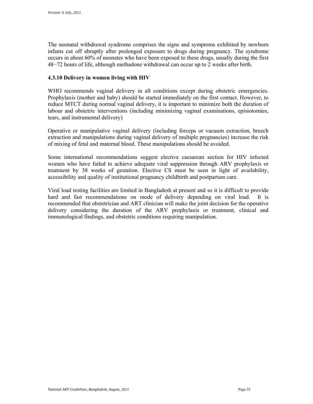The neonatal withdrawal syndrome comprises the signs and symptoms exhibited by newborn infants cut off abruptly after prolonged exposure to drugs during pregnancy. The syndrome occurs in about 60% of neonates who have been exposed to these drugs, usually during the first 48−72 hours of life, although methadone withdrawal can occur up to 2 weeks after birth.

#### **4.3.10 Delivery in women living with HIV**

 Prophylaxis (mother and baby) should be started immediately on the first contact. However, to WHO recommends vaginal delivery in all conditions except during obstetric emergencies. reduce MTCT during normal vaginal delivery, it is important to minimize both the duration of labour and obstetric interventions (including minimizing vaginal examinations, episiotomies, tears, and instrumental delivery)

Operative or manipulative vaginal delivery (including forceps or vacuum extraction, breech extraction and manipulations during vaginal delivery of multiple pregnancies) increase the risk of mixing of fetal and maternal blood. These manipulations should be avoided.

Some international recommendations suggest elective caesarean section for HIV infected women who have failed to achieve adequate viral suppression through ARV prophylaxis or treatment by 38 weeks of gestation. Elective CS must be seen in light of availability, accessibility and quality of institutional pregnancy childbirth and postpartum care.

 delivery considering the duration of the ARV prophylaxis or treatment, clinical and Viral load testing facilities are limited in Bangladesh at present and so it is difficult to provide hard and fast recommendations on mode of delivery depending on viral load. It is recommended that obstetrician and ART clinician will make the joint decision for the operative immunological findings, and obstetric conditions requiring manipulation.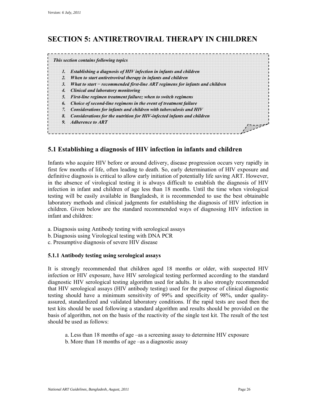### **SECTION 5: ANTIRETROVIRAL THERAPY IN CHILDREN**

|    | 1. Establishing a diagnosis of HIV infection in infants and children            |
|----|---------------------------------------------------------------------------------|
|    | 2. When to start antiretroviral therapy in infants and children                 |
|    |                                                                                 |
|    | 3. What to start – recommended first-line ART regimens for infants and children |
|    | 4. Clinical and laboratory monitoring                                           |
|    | 5. First-line regimen treatment failure; when to switch regimens                |
| 6. | Choice of second-line regimens in the event of treatment failure                |
|    | 7. Considerations for infants and children with tuberculosis and HIV            |
| 8. | Considerations for the nutrition for HIV-infected infants and children          |
|    | 9. Adherence to ART                                                             |

### **5.1 Establishing a diagnosis of HIV infection in infants and children**

 Infants who acquire HIV before or around delivery, disease progression occurs very rapidly in infection in infant and children of age less than 18 months. Until the time when virological first few months of life, often leading to death. So, early determination of HIV exposure and definitive diagnosis is critical to allow early initiation of potentially life saving ART. However, in the absence of virological testing it is always difficult to establish the diagnosis of HIV testing will be easily available in Bangladesh, it is recommended to use the best obtainable laboratory methods and clinical judgments for establishing the diagnosis of HIV infection in children. Given below are the standard recommended ways of diagnosing HIV infection in infant and children:

- a. Diagnosis using Antibody testing with serological assays b. Diagnosis using Virological testing with DNA PCR
- 
- c. Presumptive diagnosis of severe HIV disease

#### **5.1.1 Antibody testing using serological assays**

 It is strongly recommended that children aged 18 months or older, with suspected HIV assured, standardized and validated laboratory conditions. If the rapid tests are used then the basis of algorithm, not on the basis of the reactivity of the single test kit. The result of the test infection or HIV exposure, have HIV serological testing performed according to the standard diagnostic HIV serological testing algorithm used for adults. It is also strongly recommended that HIV serological assays (HIV antibody testing) used for the purpose of clinical diagnostic testing should have a minimum sensitivity of 99% and specificity of 98%, under qualitytest kits should be used following a standard algorithm and results should be provided on the should be used as follows:

- a. Less than 18 months of age –as a screening assay to determine HIV exposure
- b. More than 18 months of age –as a diagnostic assay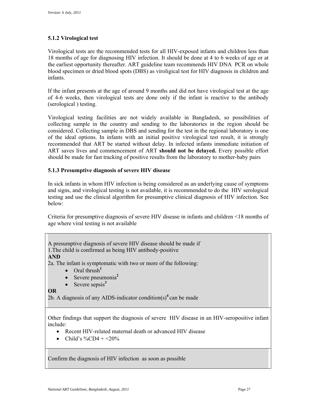### **5.1.2 Virological test**

 Virological tests are the recommended tests for all HIV-exposed infants and children less than blood specimen or dried blood spots (DBS) as viroligical test for HIV diagnosis in children and 18 months of age for diagnosing HIV infection. It should be done at 4 to 6 weeks of age or at the earliest opportunity thereafter. ART guideline team recommends HIV DNA PCR on whole infants.

 If the infant presents at the age of around 9 months and did not have virological test at the age of 4-6 weeks, then virological tests are done only if the infant is reactive to the antibody (serological ) testing.

 Virological testing facilities are not widely available in Bangladesh, so possibilities of should be made for fast tracking of positive results from the laboratory to mother-baby pairs collecting sample in the country and sending to the laboratories in the region should be considered. Collecting sample in DBS and sending for the test in the regional laboratory is one of the ideal options. In infants with an initial positive virological test result, it is strongly recommended that ART be started without delay. In infected infants immediate initiation of ART saves lives and commencement of ART **should not be delayed.** Every possible effort

### **5.1.3 Presumptive diagnosis of severe HIV disease**

In sick infants in whom HIV infection is being considered as an underlying cause of symptoms and signs, and virological testing is not available, it is recommended to do the HIV serological testing and use the clinical algorithm for presumptive clinical diagnosis of HIV infection. See below:

Criteria for presumptive diagnosis of severe HIV disease in infants and children <18 months of age where viral testing is not available

A presumptive diagnosis of severe HIV disease should be made if

1.The child is confirmed as being HIV antibody-positive

**AND** 

2a. The infant is symptomatic with two or more of the following:

- Oral thrush<sup>1</sup>
- Severe pneumonia**<sup>2</sup>**
- Severe sepsis<sup>3</sup>

**OR** 

2b. A diagnosis of any AIDS-indicator condition(s)<sup>4</sup> can be made

 Other findings that support the diagnosis of severe HIV disease in an HIV-seropositive infant include:

- Recent HIV-related maternal death or advanced HIV disease
- Child's  $\%$ CD4 + <20%

Confirm the diagnosis of HIV infection as soon as possible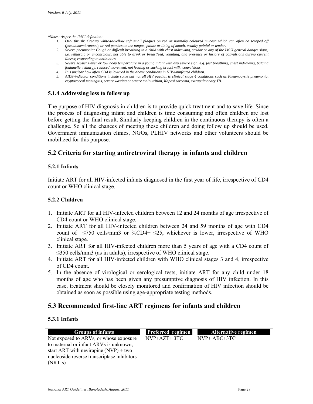*\*Notes: As per the IMCI definition:* 

- *1. Oral thrush: Creamy white-to-yellow soft small plaques on red or normally coloured mucosa which can often be scraped off (pseudomembranous), or red patches on the tongue, palate or lining of mouth, usually painful or tender.*
- *2. Severe pneumonia: Cough or difficult breathing in a child with chest indrawing, stridor or any of the IMCI general danger signs; i.e. lethargic or unconscious, not able to drink or breastfeed, vomiting, and presence or history of convulsions during current illness; responding to antibiotics.*
- *3. Severe sepsis: Fever or low body temperature in a young infant with any severe sign, e.g. fast breathing, chest indrawing, bulging fontanelle, lethargy, reduced movement, not feeding or sucking breast milk, convulsions.*
- *4. It is unclear how often CD4 is lowered in the above conditions in HIV-uninfected children.*
- *5. AIDS-indicator conditions include some but not all HIV paediatric clinical stage 4 conditions such as Pneumocystis pneumonia, cryptococcal meningitis, severe wasting or severe malnutrition, Kaposi sarcoma, extrapulmonary TB.*

#### **5.1.4 Addressing loss to follow up**

 the process of diagnosing infant and children is time consuming and often children are lost The purpose of HIV diagnosis in children is to provide quick treatment and to save life. Since before getting the final result. Similarly keeping children in the continuous therapy is often a challenge. So all the chances of meeting these children and doing follow up should be used. Government immunization clinics, NGOs, PLHIV networks and other volunteers should be mobilized for this purpose.

### **5.2 Criteria for starting antiretroviral therapy in infants and children**

#### **5.2.1 Infants**

Initiate ART for all HIV-infected infants diagnosed in the first year of life, irrespective of CD4 count or WHO clinical stage.

#### **5.2.2 Children**

- 1. Initiate ART for all HIV-infected children between 12 and 24 months of age irrespective of CD4 count or WHO clinical stage.
- 2. Initiate ART for all HIV-infected children between 24 and 59 months of age with CD4 count of  $\leq$ 750 cells/mm3 or %CD4+  $\leq$ 25, whichever is lower, irrespective of WHO clinical stage.
- 3. Initiate ART for all HIV-infected children more than 5 years of age with a CD4 count of ≤350 cells/mm3 (as in adults), irrespective of WHO clinical stage.
- 4. Initiate ART for all HIV-infected children with WHO clinical stages 3 and 4, irrespective of CD4 count.
- 5. In the absence of virological or serological tests, initiate ART for any child under 18 months of age who has been given any presumptive diagnosis of HIV infection. In this case, treatment should be closely monitored and confirmation of HIV infection should be obtained as soon as possible using age-appropriate testing methods.

### **5.3 Recommended first-line ART regimens for infants and children**

#### **5.3.1 Infants**

| <b>Groups of infants</b>                    | <b>Preferred regimen</b> | <b>Alternative regimen</b> |
|---------------------------------------------|--------------------------|----------------------------|
| Not exposed to ARVs, or whose exposure      | $NVP+AZT+3TC$            | $NVP+ ABC+3TC$             |
| to maternal or infant ARVs is unknown;      |                          |                            |
| start ART with nevirapine $(NVP)$ + two     |                          |                            |
| nucleoside reverse transcriptase inhibitors |                          |                            |
| (NRTI <sub>S</sub> )                        |                          |                            |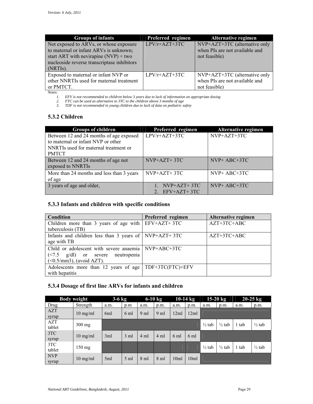| <b>Groups of infants</b>                    | Preferred regimen | Alternative regimen            |
|---------------------------------------------|-------------------|--------------------------------|
| Not exposed to ARVs, or whose exposure      | LPV/r+AZT+3TC     | NVP+AZT+3TC (alternative only  |
| to maternal or infant ARVs is unknown;      |                   | when PIs are not available and |
| start ART with nevirapine $(NVP)$ + two     |                   | not feasible)                  |
| nucleoside reverse transcriptase inhibitors |                   |                                |
| $(NRTIs)$ .                                 |                   |                                |
| Exposed to maternal or infant NVP or        | $LPV/r+AZT+3TC$   | NVP+AZT+3TC (alternative only  |
| other NNRTIs used for maternal treatment    |                   | when PIs are not available and |
| or PMTCT.                                   |                   | not feasible)                  |

*Notes:* 

*1. EFV* is not recommended to children below 3 years due to lack of information on appropriate dosing<br>
2. *FTC* can be used as alternative to 3TC to the children above 3 months of age<br>
3. **TDF** is not recommended in yo

*2. FTC can be used as alternative to 3TC to the children above 3 months of age* 

*3. TDF is not recommended in young children due to lack of data on pediatric safety* 

### **5.3.2 Children**

| <b>Groups of children</b>                                                                                                              | Preferred regimen              | Alternative regimen |
|----------------------------------------------------------------------------------------------------------------------------------------|--------------------------------|---------------------|
| Between 12 and 24 months of age exposed<br>to maternal or infant NVP or other<br>NNRTIs used for maternal treatment or<br><b>PMTCT</b> | $LPV/r+AZT+3TC$                | $NVP+AZT+3TC$       |
| Between 12 and 24 months of age not<br>exposed to NNRTIs                                                                               | $NVP+AZT+3TC$                  | $NVP+ ABC+3TC$      |
| More than 24 months and less than 3 years<br>of age                                                                                    | $NVP+AZT+3TC$                  | $NVP+ ABC+3TC$      |
| 3 years of age and older,                                                                                                              | $NVP+AZT+3TC$<br>$EFV+AZT+3TC$ | $NVP+ ABC+3TC$      |

### **5.3.3 Infants and children with specific conditions**

| <b>Condition</b>                                               | Preferred regimen | <b>Alternative regimen</b> |
|----------------------------------------------------------------|-------------------|----------------------------|
| Children more than 3 years of age with $E$ FV+AZT+3TC          |                   | AZT+3TC+ABC                |
| tuberculosis (TB)                                              |                   |                            |
| Infants and children less than 3 years of $\sqrt{NVP+AZT+3TC}$ |                   | $AZT+3TC+ABC$              |
| age with TB                                                    |                   |                            |
| Child or adolescent with severe anaemia   NVP+ABC+3TC          |                   |                            |
| $(\le 7.5 \text{ g/dl})$ or severe neutropenia                 |                   |                            |
| $(<0.5/\text{mm}3)$ , (avoid AZT).                             |                   |                            |
| Adolescents more than 12 years of age                          | TDF+3TC(FTC)+EFV  |                            |
| with hepatitis                                                 |                   |                            |

### **5.3.4 Dosage of first line ARVs for infants and children**

|                      | <b>Body weight</b> | $3-6$ kg |                | $6-10$ kg       |                 | $10-14$ kg      |      | $15-20$ kg        |                   | $20 - 25$ kg |                   |
|----------------------|--------------------|----------|----------------|-----------------|-----------------|-----------------|------|-------------------|-------------------|--------------|-------------------|
| Drug                 | Strength           | a.m.     | p.m            | a.m.            | p.m.            | a.m.            | p.m. | a.m.              | p.m.              | a.m.         | p.m.              |
| <b>AZT</b><br>syrup  | $10 \text{ mg/ml}$ | 6ml      | 6 ml           | 9 <sub>ml</sub> | 9 <sub>ml</sub> | 12ml            | 12ml |                   |                   |              |                   |
| <b>AZT</b><br>tablet | $300$ mg           |          |                |                 |                 |                 |      | $\frac{1}{2}$ tab | $\frac{1}{2}$ tab | 1 tab        | $\frac{1}{2}$ tab |
| 3TC<br>syrup         | $10 \text{ mg/ml}$ | 3ml      | $3 \text{ ml}$ | $4 \text{ ml}$  | $4 \text{ ml}$  | $6 \text{ ml}$  | 6 ml |                   |                   |              |                   |
| 3TC<br>tablet        | $150 \text{ mg}$   |          |                |                 |                 |                 |      | $\frac{1}{2}$ tab | $\frac{1}{2}$ tab | 1 tab        | $\frac{1}{2}$ tab |
| <b>NVP</b><br>syrup  | $10 \text{ mg/ml}$ | 5ml      | $5 \text{ ml}$ | $8 \text{ ml}$  | $8 \text{ ml}$  | 10 <sub>m</sub> | 10ml |                   |                   |              |                   |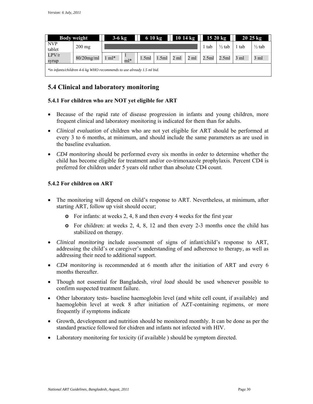| $1014 \text{ kg}$<br>$3-6$ kg<br>6 10 kg<br><b>Body weight</b>        |                  |                  |       |       |       |                | $1520 \text{ kg}$ |       | $20\,25\,\mathrm{kg}$ |      |                   |
|-----------------------------------------------------------------------|------------------|------------------|-------|-------|-------|----------------|-------------------|-------|-----------------------|------|-------------------|
| <b>NVP</b><br>tablet                                                  | $200 \text{ mg}$ |                  |       |       |       |                |                   | tab   | $\frac{1}{2}$ tab     | tab  | $\frac{1}{2}$ tab |
| LPV/r<br>syrup                                                        | $80/20$ mg/ml    | $1 \text{ ml}^*$ | $ml*$ | 1.5ml | 1.5ml | $2 \text{ ml}$ | $2 \text{ ml}$    | 2.5ml | 2.5ml                 | 3 ml | 3 ml              |
| *in infants/children 4-6 kg WHO recommends to use already 1.5 ml bid. |                  |                  |       |       |       |                |                   |       |                       |      |                   |

### **5.4 Clinical and laboratory monitoring**

### **5.4.1 For children who are NOT yet eligible for ART**

- Because of the rapid rate of disease progression in infants and young children, more frequent clinical and laboratory monitoring is indicated for them than for adults.
- every 3 to 6 months, at minimum, and should include the same parameters as are used in *Clinical evaluation* of children who are not yet eligible for ART should be performed at the baseline evaluation.
- *CD4 monitoring* should be performed every six months in order to determine whether the child has become eligible for treatment and/or co-trimoxazole prophylaxis. Percent CD4 is preferred for children under 5 years old rather than absolute CD4 count.

### **5.4.2 For children on ART**

- The monitoring will depend on child's response to ART. Nevertheless, at minimum, after starting ART, follow up visit should occur;
	- **o** For infants: at weeks 2, 4, 8 and then every 4 weeks for the first year
	- stabilized on therapy. **o** For children: at weeks 2, 4, 8, 12 and then every 2-3 months once the child has
- addressing their need to additional support. *Clinical monitoring* include assessment of signs of infant/child's response to ART, addressing the child's or caregiver's understanding of and adherence to therapy, as well as
- *CD4 monitoring* is recommended at 6 month after the initiation of ART and every 6 months thereafter.
- Though not essential for Bangladesh, *viral load* should be used whenever possible to confirm suspected treatment failure.
- haemoglobin level at week 8 after initiation of AZT-containing regimens, or more Other laboratory tests- baseline haemoglobin level (and white cell count, if available) and frequently if symptoms indicate
- Growth, development and nutrition should be monitored monthly. It can be done as per the standard practice followed for chidren and infants not infected with HIV.
- Laboratory monitoring for toxicity (if available ) should be symptom directed.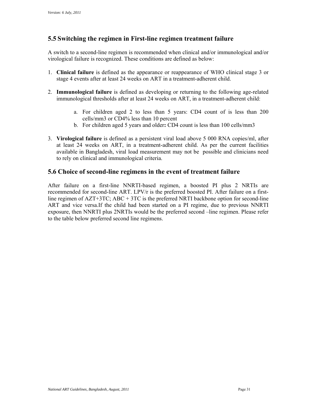### **5.5 Switching the regimen in First-line regimen treatment failure**

A switch to a second-line regimen is recommended when clinical and/or immunological and/or virological failure is recognized. These conditions are defined as below:

- 1. **Clinical failure** is defined as the appearance or reappearance of WHO clinical stage 3 or stage 4 events after at least 24 weeks on ART in a treatment-adherent child.
- 2. **Immunological failure** is defined as developing or returning to the following age-related immunological thresholds after at least 24 weeks on ART, in a treatment-adherent child:
	- a. For children aged 2 to less than 5 years: CD4 count of is less than 200 cells/mm3 or CD4% less than 10 percent
	- b. For children aged 5 years and older**:** CD4 count is less than 100 cells/mm3
- 3. **Virological failure** is defined as a persistent viral load above 5 000 RNA copies/ml, after at least 24 weeks on ART, in a treatment-adherent child. As per the current facilities available in Bangladesh, viral load measurement may not be possible and clinicians need to rely on clinical and immunological criteria.

### **5.6 Choice of second-line regimens in the event of treatment failure**

 to the table below preferred second line regimens. After failure on a first-line NNRTI-based regimen, a boosted PI plus 2 NRTIs are recommended for second-line ART. LPV/r is the preferred boosted PI. After failure on a firstline regimen of AZT+3TC; ABC + 3TC is the preferred NRTI backbone option for second-line ART and vice versa.If the child had been started on a PI regime, due to previous NNRTI exposure, then NNRTI plus 2NRTIs would be the preferred second –line regimen. Please refer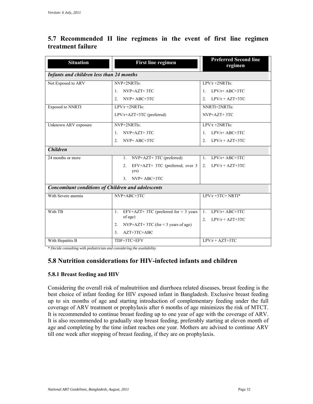### **5.7 Recommended II line regimens in the event of first line regimen treatment failure**

| <b>Situation</b>                                          | <b>First line regimen</b>                      | <b>Preferred Second line</b><br>regimen |  |  |  |  |  |  |  |
|-----------------------------------------------------------|------------------------------------------------|-----------------------------------------|--|--|--|--|--|--|--|
| <b>Infants and children less than 24 months</b>           |                                                |                                         |  |  |  |  |  |  |  |
| Not Exposed to ARV                                        | NVP+2NRTIs:                                    | $LPV/r + 2NRTIs$                        |  |  |  |  |  |  |  |
|                                                           | NVP+AZT+3TC<br>$\mathbf{1}$                    | $LPV/r+ ABC+3TC$<br>$\mathbf{1}$        |  |  |  |  |  |  |  |
|                                                           | $NVP+ ABC+3TC$<br>$2^{\circ}$                  | $LPV/r + AZT+3TC$<br>$\mathfrak{D}$     |  |  |  |  |  |  |  |
| <b>Exposed to NNRTI</b>                                   | $LPV/r + 2NRTIs$ :                             | NNRTI+2NRTIs:                           |  |  |  |  |  |  |  |
|                                                           | $LPV/r+AZT+3TC$ (preferred)                    | $NVP+AZT+3TC$                           |  |  |  |  |  |  |  |
| Unknown ARV exposure                                      | NVP+2NRTIs:                                    | $LPV/r + 2NRTIs$ :                      |  |  |  |  |  |  |  |
|                                                           | NVP+AZT+3TC<br>$1_{-}$                         | $LPV/r+ ABC+3TC$<br>$\mathbf{1}$ .      |  |  |  |  |  |  |  |
|                                                           | NVP+ ABC+3TC<br>2 <sup>1</sup>                 | $LPV/r + AZT+3TC$<br>$\mathfrak{D}$     |  |  |  |  |  |  |  |
| <b>Children</b>                                           |                                                |                                         |  |  |  |  |  |  |  |
| 24 months or more                                         | NVP+AZT+3TC (preferred)<br>1.                  | 1. $LPV/r+ ABC+3TC$                     |  |  |  |  |  |  |  |
|                                                           | $EFV+AZT+3TC$ (preferred, over 3<br>2.<br>yrs) | 2. $LPV/r + AZT+3TC$                    |  |  |  |  |  |  |  |
|                                                           | $NVP+ ABC+3TC$<br>3 <sub>1</sub>               |                                         |  |  |  |  |  |  |  |
| <b>Concomitant conditions of Children and adolescents</b> |                                                |                                         |  |  |  |  |  |  |  |
| With Severe anemia                                        | NVP+ABC+3TC                                    | $LPV/r + 3TC + NRTI^*$                  |  |  |  |  |  |  |  |
|                                                           |                                                |                                         |  |  |  |  |  |  |  |
| With TB                                                   | EFV+AZT+ 3TC (preferred for $>$ 3 years<br>1.  | $\mathbf{1}$<br>$LPV/r+ ABC+3TC$        |  |  |  |  |  |  |  |
|                                                           | of age)                                        | $LPV/r + AZT + 3TC$<br>$2^{\circ}$      |  |  |  |  |  |  |  |
|                                                           | $NVP+AZT+3TC$ (for < 3 years of age)<br>2.     |                                         |  |  |  |  |  |  |  |
|                                                           | 3 <sub>1</sub><br>$AZT+3TC+ABC$                |                                         |  |  |  |  |  |  |  |
| With Hepatitis B                                          | TDF+3TC+EFV                                    | $LPV/r + AZT+3TC$                       |  |  |  |  |  |  |  |

*\* Decide consulting with pediatrician and considering the availability* 

### **5.8 Nutrition considerations for HIV-infected infants and children**

#### **5.8.1 Breast feeding and HIV**

 coverage of ARV treatment or prophylaxis after 6 months of age minimizes the risk of MTCT. It is also recommended to gradually stop breast feeding, preferably starting at eleven month of age and completing by the time infant reaches one year. Mothers are advised to continue ARV Considering the overall risk of malnutrition and diarrhoea related diseases, breast feeding is the best choice of infant feeding for HIV exposed infant in Bangladesh. Exclusive breast feeding up to six months of age and starting introduction of complementary feeding under the full It is recommended to continue breast feeding up to one year of age with the coverage of ARV. till one week after stopping of breast feeding, if they are on prophylaxis.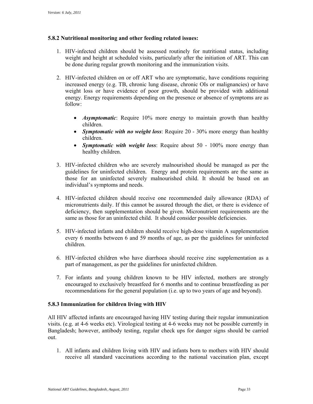### **5.8.2 Nutritional monitoring and other feeding related issues:**

- 1. HIV-infected children should be assessed routinely for nutritional status, including weight and height at scheduled visits, particularly after the initiation of ART. This can be done during regular growth monitoring and the immunization visits.
- 2. HIV-infected children on or off ART who are symptomatic, have conditions requiring increased energy (e.g. TB, chronic lung disease, chronic OIs or malignancies) or have weight loss or have evidence of poor growth, should be provided with additional energy. Energy requirements depending on the presence or absence of symptoms are as follow:
	- *Asymptomatic*: Require 10% more energy to maintain growth than healthy children.
	- *Symptomatic with no weight loss*: Require 20 30% more energy than healthy children.
	- *Symptomatic with weight loss*: Require about 50 100% more energy than healthy children.
- guidelines for uninfected children. Energy and protein requirements are the same as individual's symptoms and needs. 3. HIV-infected children who are severely malnourished should be managed as per the those for an uninfected severely malnourished child. It should be based on an
- micronutrients daily. If this cannot be assured through the diet, or there is evidence of 4. HIV-infected children should receive one recommended daily allowance (RDA) of deficiency, then supplementation should be given. Micronutrient requirements are the same as those for an uninfected child. It should consider possible deficiencies.
- 5. HIV-infected infants and children should receive high-dose vitamin A supplementation every 6 months between 6 and 59 months of age, as per the guidelines for uninfected children.
- 6. HIV-infected children who have diarrhoea should receive zinc supplementation as a part of management, as per the guidelines for uninfected children.
- 7. For infants and young children known to be HIV infected, mothers are strongly encouraged to exclusively breastfeed for 6 months and to continue breastfeeding as per recommendations for the general population (i.e. up to two years of age and beyond).

#### **5.8.3 Immunization for children living with HIV**

All HIV affected infants are encouraged having HIV testing during their regular immunization visits. (e.g. at 4-6 weeks etc). Virological testing at 4-6 weeks may not be possible currently in Bangladesh; however, antibody testing, regular check ups for danger signs should be carried out.

1. All infants and children living with HIV and infants born to mothers with HIV should receive all standard vaccinations according to the national vaccination plan, except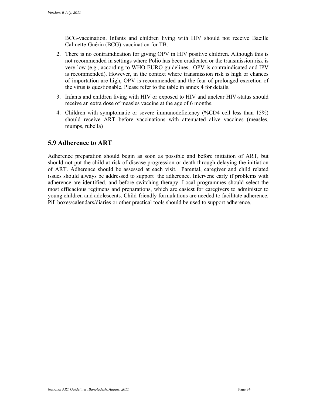BCG-vaccination. Infants and children living with HIV should not receive Bacille Calmette-Guérin (BCG)-vaccination for TB.

- of importation are high, OPV is recommended and the fear of prolonged excretion of 2. There is no contraindication for giving OPV in HIV positive children. Although this is not recommended in settings where Polio has been eradicated or the transmission risk is very low (e.g., according to WHO EURO guidelines, OPV is contraindicated and IPV is recommended). However, in the context where transmission risk is high or chances the virus is questionable. Please refer to the table in annex 4 for details.
- receive an extra dose of measles vaccine at the age of 6 months. 3. Infants and children living with HIV or exposed to HIV and unclear HIV-status should
- 4. Children with symptomatic or severe immunodeficiency (%CD4 cell less than 15%) should receive ART before vaccinations with attenuated alive vaccines (measles, mumps, rubella)

### **5.9 Adherence to ART**

 Adherence preparation should begin as soon as possible and before initiation of ART, but should not put the child at risk of disease progression or death through delaying the initiation of ART. Adherence should be assessed at each visit. Parental, caregiver and child related issues should always be addressed to support the adherence. Intervene early if problems with adherence are identified, and before switching therapy. Local programmes should select the most efficacious regimens and preparations, which are easiest for caregivers to administer to young children and adolescents. Child-friendly formulations are needed to facilitate adherence. Pill boxes/calendars/diaries or other practical tools should be used to support adherence.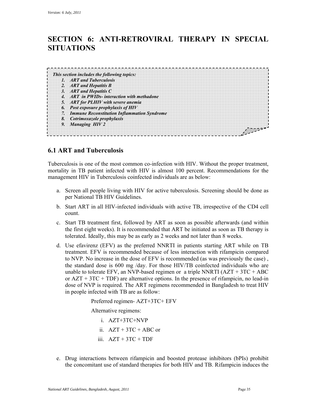### **SECTION 6: ANTI-RETROVIRAL THERAPY IN SPECIAL SITUATIONS**

| 1. ART and Tuberculosis<br>2. ART and Hepatitis B<br>3. ART and Hepatitis C<br>4. ART in PWIDs-interaction with methodone<br>5. ART for PLHIV with severe anemia<br>6. Post exposure prophylaxis of HIV<br>7. Immune Reconstitution Inflammation Syndrome<br>8. Cotrimoxazole prophylaxis<br>9. Managing HIV 2 | This section includes the following topics: |  |
|----------------------------------------------------------------------------------------------------------------------------------------------------------------------------------------------------------------------------------------------------------------------------------------------------------------|---------------------------------------------|--|
|                                                                                                                                                                                                                                                                                                                |                                             |  |
|                                                                                                                                                                                                                                                                                                                |                                             |  |
|                                                                                                                                                                                                                                                                                                                |                                             |  |
|                                                                                                                                                                                                                                                                                                                |                                             |  |
|                                                                                                                                                                                                                                                                                                                |                                             |  |
|                                                                                                                                                                                                                                                                                                                |                                             |  |
|                                                                                                                                                                                                                                                                                                                |                                             |  |
|                                                                                                                                                                                                                                                                                                                |                                             |  |
|                                                                                                                                                                                                                                                                                                                |                                             |  |

### **6.1 ART and Tuberculosis**

Tuberculosis is one of the most common co-infection with HIV. Without the proper treatment, mortality in TB patient infected with HIV is almost 100 percent. Recommendations for the management HIV in Tuberculosis coinfected individuals are as below:

- a. Screen all people living with HIV for active tuberculosis. Screening should be done as per National TB HIV Guidelines.
- b. Start ART in all HIV-infected individuals with active TB, irrespective of the CD4 cell count.
- the first eight weeks). It is recommended that ART be initiated as soon as TB therapy is c. Start TB treatment first, followed by ART as soon as possible afterwards (and within tolerated. Ideally, this may be as early as 2 weeks and not later than 8 weeks.
- the standard dose is 600 mg /day. For those HIV/TB coinfected individuals who are unable to tolerate EFV, an NVP-based regimen or a triple NNRTI  $(AZT + 3TC + ABC$ d. Use efavirenz (EFV) as the preferred NNRTI in patients starting ART while on TB treatment. EFV is recommended because of less interaction with rifampicin compared to NVP. No increase in the dose of EFV is recommended (as was previously the case) , or  $AZT + 3TC + TDF$ ) are alternative options. In the presence of rifampicin, no lead-in dose of NVP is required. The ART regimens recommended in Bangladesh to treat HIV in people infected with TB are as follow:

Preferred regimen- AZT+3TC+ EFV

Alternative regimens:

i. AZT+3TC+NVP

- ii.  $AZT + 3TC + ABC$  or
- iii.  $AZT + 3TC + TDF$
- the concomitant use of standard therapies for both HIV and TB. Rifampicin induces the e. Drug interactions between rifampicin and boosted protease inhibitors (bPIs) prohibit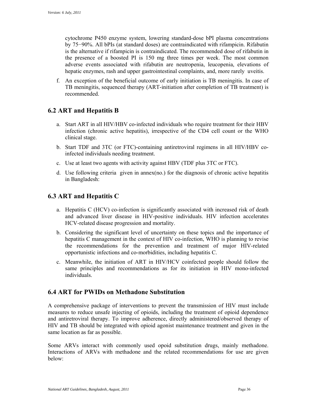is the alternative if rifampicin is contraindicated. The recommended dose of rifabutin in the presence of a boosted PI is 150 mg three times per week. The most common adverse events associated with rifabutin are neutropenia, leucopenia, elevations of hepatic enzymes, rash and upper gastrointestinal complaints, and, more rarely uveitis. cytochrome P450 enzyme system, lowering standard-dose bPI plasma concentrations by 75−90%. All bPIs (at standard doses) are contraindicated with rifampicin. Rifabutin

 TB meningitis, sequenced therapy (ART-initiation after completion of TB treatment) is f. An exception of the beneficial outcome of early initiation is TB meningitis. In case of recommended.

### **6.2 ART and Hepatitis B**

- a. Start ART in all HIV/HBV co-infected individuals who require treatment for their HBV infection (chronic active hepatitis), irrespective of the CD4 cell count or the WHO clinical stage.
- b. Start TDF and 3TC (or FTC)-containing antiretroviral regimens in all HIV/HBV coinfected individuals needing treatment.
- c. Use at least two agents with activity against HBV (TDF plus 3TC or FTC).
- d. Use following criteria given in annex(no.) for the diagnosis of chronic active hepatitis in Bangladesh:

### **6.3 ART and Hepatitis C**

- a. Hepatitis C (HCV) co-infection is significantly associated with increased risk of death and advanced liver disease in HIV-positive individuals. HIV infection accelerates HCV-related disease progression and mortality.
- hepatitis C management in the context of HIV co-infection, WHO is planning to revise b. Considering the significant level of uncertainty on these topics and the importance of the recommendations for the prevention and treatment of major HIV-related opportunistic infections and co-morbidities, including hepatitis C.
- c. Meanwhile, the initiation of ART in HIV/HCV coinfected people should follow the same principles and recommendations as for its initiation in HIV mono-infected individuals.

### **6.4 ART for PWIDs on Methadone Substitution**

A comprehensive package of interventions to prevent the transmission of HIV must include measures to reduce unsafe injecting of opioids, including the treatment of opioid dependence and antiretroviral therapy. To improve adherence, directly administered/observed therapy of HIV and TB should be integrated with opioid agonist maintenance treatment and given in the same location as far as possible.

 Some ARVs interact with commonly used opoid substitution drugs, mainly methadone. Interactions of ARVs with methadone and the related recommendations for use are given below: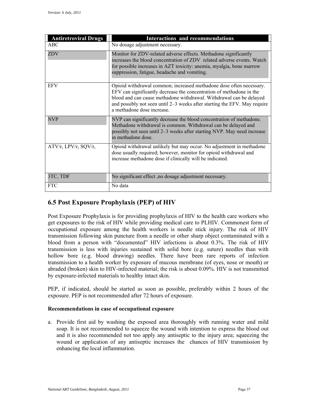| <b>Antiretroviral Drugs</b> | <b>Interactions and recommendations</b>                                                                                                                                                                                                                                                                                       |
|-----------------------------|-------------------------------------------------------------------------------------------------------------------------------------------------------------------------------------------------------------------------------------------------------------------------------------------------------------------------------|
| <b>ABC</b>                  | No dosage adjustment necessary.                                                                                                                                                                                                                                                                                               |
| ZDV                         | Monitor for ZDV-related adverse effects. Methadone significantly<br>increases the blood concentration of ZDV related adverse events. Watch<br>for possible increases in AZT toxicity: anemia, myalgia, bone marrow<br>suppression, fatigue, headache and vomiting.                                                            |
| <b>EFV</b>                  | Opioid withdrawal common; increased methadone dose often necessary.<br>EFV can significantly decrease the concentration of methadone in the<br>blood and can cause methadone withdrawal. Withdrawal can be delayed<br>and possibly not seen until 2–3 weeks after starting the EFV. May require<br>a methadone dose increase. |
| <b>NVP</b>                  | NVP can significantly decrease the blood concentration of methadone.<br>Methadone withdrawal is common. Withdrawal can be delayed and<br>possibly not seen until 2–3 weeks after starting NVP. May need increase<br>in methadone dose                                                                                         |
| ATV/r, LPV/r, SQV/r,        | Opioid withdrawal unlikely but may occur. No adjustment in methadone<br>dose usually required; however, monitor for opioid withdrawal and<br>increase methadone dose if clinically will be indicated.                                                                                                                         |
| 3TC, TDF                    | No significant effect, no dosage adjustment necessary.                                                                                                                                                                                                                                                                        |
| <b>FTC</b>                  | No data                                                                                                                                                                                                                                                                                                                       |

### **6.5 Post Exposure Prophylaxis (PEP) of HIV**

 Post Exposure Prophylaxis is for providing prophylaxis of HIV to the health care workers who get exposures to the risk of HIV while providing medical care to PLHIV. Commonest form of transmission following skin puncture from a needle or other sharp object contaminated with a blood from a person with "documented" HIV infections is about 0.3%. The risk of HIV occupational exposure among the health workers is needle stick injury. The risk of HIV transmission is less with injuries sustained with solid bore (e.g. suture) needles than with hollow bore (e.g. blood drawing) needles. There have been rare reports of infection transmission to a health worker by exposure of mucous membrane (of eyes, nose or mouth) or abraded (broken) skin to HIV-infected material; the risk is about 0.09%. HIV is not transmitted by exposure-infected materials to healthy intact skin.

PEP, if indicated, should be started as soon as possible, preferably within 2 hours of the exposure. PEP is not recommended after 72 hours of exposure.

### **Recommendations in case of occupational exposure**

 wound or application of any antiseptic increases the chances of HIV transmission by a. Provide first aid by washing the exposed area thoroughly with running water and mild soap. It is not recommended to squeeze the wound with intention to express the blood out and it is also recommended not too apply any antiseptic to the injury area; squeezing the enhancing the local inflammation.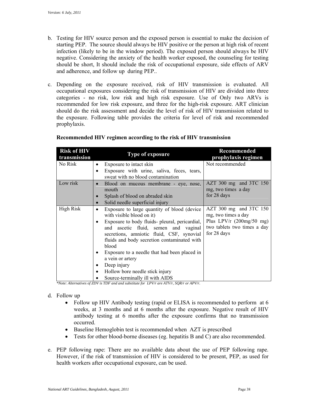- b. Testing for HIV source person and the exposed person is essential to make the decision of starting PEP. The source should always be HIV positive or the person at high risk of recent infection (likely to be in the window period). The exposed person should always be HIV negative. Considering the anxiety of the health worker exposed, the counseling for testing should be short, It should include the risk of occupational exposure, side effects of ARV and adherence, and follow up during PEP..
- c. Depending on the exposure received, risk of HIV transmission is evaluated. All occupational exposures considering the risk of transmission of HIV are divided into three categories - no risk, low risk and high risk exposure. Use of Only two ARVs is recommended for low risk exposure, and three for the high-risk exposure. ART clinician should do the risk assessment and decide the level of risk of HIV transmission related to the exposure. Following table provides the criteria for level of risk and recommended prophylaxis.

| <b>Risk of HIV</b><br>transmission | Type of exposure                                                                                                                                                                                                                                                                                                                                                                                                                                           | Recommended<br>prophylaxis regimen                                                                                         |
|------------------------------------|------------------------------------------------------------------------------------------------------------------------------------------------------------------------------------------------------------------------------------------------------------------------------------------------------------------------------------------------------------------------------------------------------------------------------------------------------------|----------------------------------------------------------------------------------------------------------------------------|
| No Risk                            | Exposure to intact skin<br>Exposure with urine, saliva, feces, tears,<br>$\bullet$                                                                                                                                                                                                                                                                                                                                                                         | Not recommended                                                                                                            |
|                                    | sweat with no blood contamination                                                                                                                                                                                                                                                                                                                                                                                                                          |                                                                                                                            |
| Low risk                           | Blood on mucous membrane - eye, nose,<br>$\bullet$<br>mouth<br>Splash of blood on abraded skin<br>Solid needle superficial injury<br>$\bullet$                                                                                                                                                                                                                                                                                                             | $AZT$ 300 mg and 3TC 150<br>mg, two times a day<br>for 28 days                                                             |
| High Risk                          | Exposure to large quantity of blood (device)<br>٠<br>with visible blood on it)<br>Exposure to body fluids- pleural, pericardial,<br>٠<br>and ascetic fluid, semen and vaginal<br>secretions, amniotic fluid, CSF, synovial<br>fluids and body secretion contaminated with<br>blood<br>Exposure to a needle that had been placed in<br>٠<br>a vein or artery<br>Deep injury<br>٠<br>Hollow bore needle stick injury<br>٠<br>Source-terminally ill with AIDS | $AZT$ 300 mg and 3TC 150<br>mg, two times a day<br>Plus LPV/r $(200mg/50mg)$<br>two tablets two times a day<br>for 28 days |

### **Recommended HIV regimen according to the risk of HIV transmission**

*\*Note: Alternatives of ZDV is TDF and and substitute for LPV/r are ATV/r, SQR/r or APV/r.* 

#### d. Follow up

- Follow up HIV Antibody testing (rapid or ELISA is recommended to perform at 6 weeks, at 3 months and at 6 months after the exposure. Negative result of HIV antibody testing at 6 months after the exposure confirms that no transmission occurred.
- Baseline Hemoglobin test is recommended when AZT is prescribed
- Tests for other blood-borne diseases (eg. hepatitis B and C) are also recommended.
- e. PEP following rape: There are no available data about the use of PEP following rape. However, if the risk of transmission of HIV is considered to be present, PEP, as used for health workers after occupational exposure, can be used.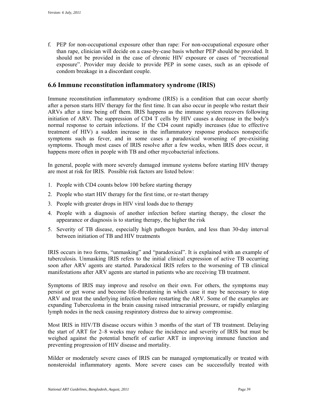should not be provided in the case of chronic HIV exposure or cases of "recreational f. PEP for non-occupational exposure other than rape: For non-occupational exposure other than rape, clinician will decide on a case-by-case basis whether PEP should be provided. It exposure". Provider may decide to provide PEP in some cases, such as an episode of condom breakage in a discordant couple.

### **6.6 Immune reconstitution inflammatory syndrome (IRIS)**

 initiation of ARV. The suppression of CD4 T cells by HIV causes a decrease in the body's Immune reconstitution inflammatory syndrome (IRIS) is a condition that can occur shortly after a person starts HIV therapy for the first time. It can also occur in people who restart their ARVs after a time being off them. IRIS happens as the immune system recovers following normal response to certain infections. If the CD4 count rapidly increases (due to effective treatment of HIV) a sudden increase in the inflammatory response produces nonspecific symptoms such as fever, and in some cases a paradoxical worsening of pre-exisiting symptoms. Though most cases of IRIS resolve after a few weeks, when IRIS does occur, it happens more often in people with TB and other mycobacterial infections.

In general, people with more severely damaged immune systems before starting HIV therapy are most at risk for IRIS. Possible risk factors are listed below:

- 1. People with CD4 counts below 100 before starting therapy
- 2. People who start HIV therapy for the first time, or re-start therapy
- 3. People with greater drops in HIV viral loads due to therapy
- 4. People with a diagnosis of another infection before starting therapy, the closer the appearance or diagnosis is to starting therapy, the higher the risk
- 5. Severity of TB disease, especially high pathogen burden, and less than 30-day interval between initiation of TB and HIV treatments

 soon after ARV agents are started. Paradoxical IRIS refers to the worsening of TB clinical IRIS occurs in two forms, "unmasking" and "paradoxical". It is explained with an example of tuberculosis. Unmasking IRIS refers to the initial clinical expression of active TB occurring manifestations after ARV agents are started in patients who are receiving TB treatment.

 Symptoms of IRIS may improve and resolve on their own. For others, the symptoms may persist or get worse and become life-threatening in which case it may be necessary to stop ARV and treat the underlying infection before restarting the ARV. Some of the examples are expanding Tuberculoma in the brain causing raised intracranial pressure, or rapidly enlarging lymph nodes in the neck causing respiratory distress due to airway compromise.

 weighed against the potential benefit of earlier ART in improving immune function and Most IRIS in HIV/TB disease occurs within 3 months of the start of TB treatment. Delaying the start of ART for 2–8 weeks may reduce the incidence and severity of IRIS but must be preventing progression of HIV disease and mortality.

 Milder or moderately severe cases of IRIS can be managed symptomatically or treated with nonsteroidal inflammatory agents. More severe cases can be successfully treated with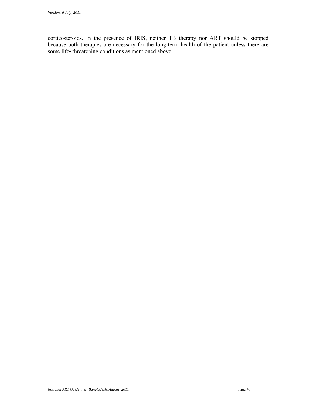corticosteroids. In the presence of IRIS, neither TB therapy nor ART should be stopped because both therapies are necessary for the long-term health of the patient unless there are some life**-** threatening conditions as mentioned above.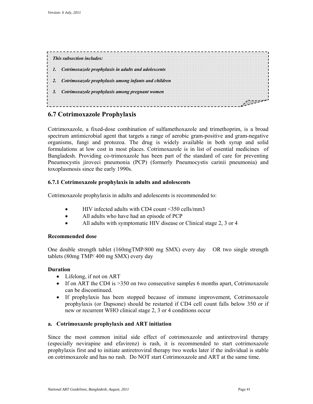| This subsection includes:                               |  |
|---------------------------------------------------------|--|
| 1. Cotrimoxazole prophylaxis in adults and adolescents  |  |
| 2. Cotrimoxazole prophylaxis among infants and children |  |
| 3. Cotrimoxazole prophylaxis among pregnant women       |  |

### **6.7 Cotrimoxazole Prophylaxis**

 Cotrimoxazole, a fixed-dose combination of sulfamethoxazole and trimethoprim, is a broad Pneumocystis jiroveci pneumonia (PCP) (formerly Pneumocystis carinii pneumonia) and toxoplasmosis since the early 1990s. spectrum antimicrobial agent that targets a range of aerobic gram-positive and gram-negative organisms, fungi and protozoa. The drug is widely available in both syrup and solid formulations at low cost in most places. Cotrimoxazole is in list of essential medicines of Bangladesh. Providing co-trimoxazole has been part of the standard of care for preventing

### **6.7.1 Cotrimoxazole prophylaxis in adults and adolescents**

Cotrimoxazole prophylaxis in adults and adolescents is recommended to:

- HIV infected adults with CD4 count <350 cells/mm3
- All adults who have had an episode of PCP
- All adults with symptomatic HIV disease or Clinical stage 2, 3 or 4

#### **Recommended dose**

 One double strength tablet (160mgTMP/800 mg SMX) every day OR two single strength tablets (80mg TMP/ 400 mg SMX) every day

### **Duration**

- Lifelong, if not on ART
- If on ART the CD4 is >350 on two consecutive samples 6 months apart, Cotrimoxazole can be discontinued.
- If prophylaxis has been stopped because of immune improvement, Cotrimoxazole prophylaxis (or Dapsone) should be restarted if CD4 cell count falls below 350 or if new or recurrent WHO clinical stage 2, 3 or 4 conditions occur

### **a. Cotrimoxazole prophylaxis and ART initiation**

 on cotrimoxazole and has no rash. Do NOT start Cotrimoxazole and ART at the same time. Since the most common initial side effect of cotrimoxazole and antiretroviral therapy (especially nevirapine and efavirenz) is rash, it is recommended to start cotrimoxazole prophylaxis first and to initiate antiretroviral therapy two weeks later if the individual is stable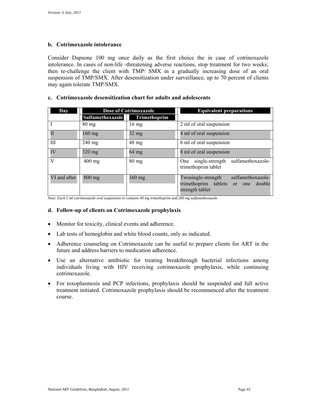### **b. Cotrimoxazole intolerance**

Consider Dapsone 100 mg once daily as the first choice the in case of cotrinoxazole intolerance. In cases of non-life -threatening adverse reactions, stop treatment for two weeks; then re-challenge the client with TMP/ SMX in a gradually increasing dose of an oral suspension of TMP/SMX. After desensitization under surveillance, up to 70 percent of clients may again tolerate TMP/SMX.

### **c. Cotrimoxazole desensitization chart for adults and adolescents**

| Day          |                  | <b>Dose of Cotrimoxazole</b> | <b>Equivalent preparations</b>                                                                      |  |  |
|--------------|------------------|------------------------------|-----------------------------------------------------------------------------------------------------|--|--|
|              | Sulfamethoxazole | <b>Trimethoprim</b>          |                                                                                                     |  |  |
|              | $80 \text{ mg}$  | $16 \text{ mg}$              | 2 ml of oral suspension                                                                             |  |  |
| П            | $160$ mg         | $32 \text{ mg}$              | 4 ml of oral suspension                                                                             |  |  |
| Ш            | $240$ mg         | $48 \text{ mg}$              | 6 ml of oral suspension                                                                             |  |  |
| IV           | 320 mg           | $64$ mg                      | 8 ml of oral suspension                                                                             |  |  |
| V            | $400 \text{ mg}$ | $80 \text{ mg}$              | single-strength sulfamethoxazole-<br>One<br>trimethoprim tablet                                     |  |  |
| VI and after | $800$ mg         | $160$ mg                     | sulfamethoxazole-<br>Twosingle-strength<br>trimethoprim tablets or one<br>double<br>strength tablet |  |  |

 *Note: Each 5 ml cotrimoxazole oral suspension in contains 40 mg trimethoprim and 200 mg sulfamethoxazole* 

#### **d. Follow-up of clients on Cotrimoxazole prophylaxis**

- Monitor for toxicity, clinical events and adherence.
- Lab tests of hemoglobin and white blood counts, only as indicated.
- Adherence counseling on Cotrimoxazole can be useful to prepare clients for ART in the future and address barriers to medication adherence.
- Use an alternative antibiotic for treating breakthrough bacterial infections among individuals living with HIV receiving cotrimoxazole prophylaxis, while continuing cotrimoxazole.
- For toxoplasmosis and PCP infections, prophylaxis should be suspended and full active treatment initiated. Cotrimoxazole prophylaxis should be recommenced after the treatment course.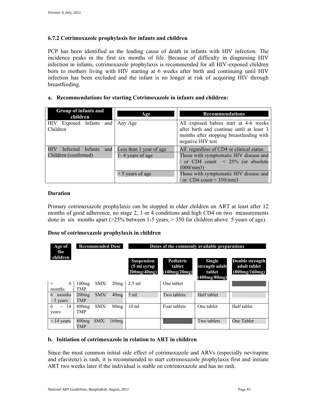### **6.7.2 Cotrimoxazole prophylaxis for infants and children**

 infection has been excluded and the infant is no longer at risk of acquiring HIV through PCP has been identified as the leading cause of death in infants with HIV infection. The incidence peaks in the first six months of life. Because of difficulty in diagnosing HIV infection in infants, cotrimoxazole prophylaxis is recommended for all HIV-exposed children born to mothers living with HIV starting at 6 weeks after birth and continuing until HIV breastfeeding.

### **a. Recommendations for starting Cotrimoxazole in infants and children:**

| Group of infants and<br>children         | Age                     | <b>Recommendations</b>                                                                                                                              |
|------------------------------------------|-------------------------|-----------------------------------------------------------------------------------------------------------------------------------------------------|
| Exposed Infants and<br>HIV –<br>Children | Any Age                 | All exposed babies start at 4-6 weeks<br>after birth and continue until at least 3<br>months after stopping breastfeeding with<br>negative HIV test |
| Infected Infants<br><b>HIV</b><br>and 1  | Less than 1 year of age | All regardless of CD4 or clinical status                                                                                                            |
| Children (confirmed)                     | 1 - 4 years of age      | Those with symptomatic HIV disease and                                                                                                              |
|                                          |                         | or CD4 count $\langle 25\%$ (or absolute                                                                                                            |
|                                          |                         | $1000/mm3$ )                                                                                                                                        |
|                                          | > 5 years of age        | Those with symptomatic HIV disease and                                                                                                              |
|                                          |                         | or CD4 count $\leq$ 350/mm3                                                                                                                         |

#### **Duration**

 Primary cotrimoxazole prophylaxis can be stopped in older children on ART at least after 12 months of good adherence, no stage 2, 3 or 4 conditions and high CD4 on two measurements done in six months apart  $(25\%$  between 1-5 years,  $> 350$  for children above 5 years of age).

#### **Dose of cotrimoxazole prophylaxis in children**

| Age of<br><b>Recommended Dose</b><br>the |                                |       | Doses of the commonly available preparations       |                                     |                                                           |                                                         |  |
|------------------------------------------|--------------------------------|-------|----------------------------------------------------|-------------------------------------|-----------------------------------------------------------|---------------------------------------------------------|--|
| children                                 |                                |       | <b>Suspension</b><br>(5 ml svrup<br>$200$ mg/40mg) | Pediatric<br>tablet<br>(100mg/20mg) | <b>Single</b><br>strength adult<br>tablet<br>(400mg/80mg) | <b>Double strength</b><br>adult tablet<br>(800mg/160mg) |  |
| $\,<$<br>6<br>months                     | SMX/<br>100mg<br><b>TMP</b>    | 20mg  | $2.5$ ml                                           | One tablet                          |                                                           |                                                         |  |
| months<br>6<br>– 5 years                 | SMX/<br>$200$ mg<br><b>TMP</b> | 40mg  | $5 \text{ ml}$                                     | Two tablets                         | Half tablet                                               |                                                         |  |
| $-14$<br>6<br>years                      | SMX/<br>400mg<br><b>TMP</b>    | 80mg  | $10 \text{ ml}$                                    | Four tablets                        | One tablet                                                | Half tablet                                             |  |
| $> 14$ years                             | $800$ mg<br>SMX/<br><b>TMP</b> | 160mg |                                                    |                                     | Two tablets                                               | One Tablet                                              |  |

#### **b. Initiation of cotrimoxazole in relation to ART in children**

Since the most common initial side effect of cotrimoxazole and ARVs (especially nevirapine and efavirenz) is rash, it is recommended to start cotrimoxazole prophylaxis first and initiate ART two weeks later if the individual is stable on cotrimoxazole and has no rash.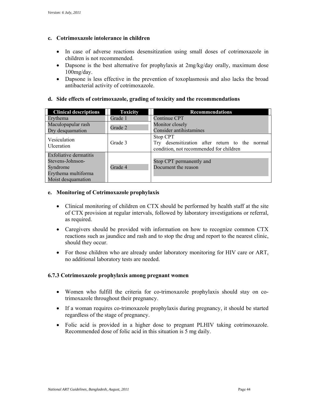### **c. Cotrimoxazole intolerance in children**

- In case of adverse reactions desensitization using small doses of cotrimoxazole in children is not recommended.
- Dapsone is the best alternative for prophylaxis at  $2mg/kg/day$  orally, maximum dose 100mg/day.
- Dapsone is less effective in the prevention of toxoplasmosis and also lacks the broad antibacterial activity of cotrimoxazole.

#### **d. Side effects of cotrimoxazole, grading of toxicity and the recommendations**

| <b>Clinical descriptions</b>  | <b>Toxicity</b> | <b>Recommendations</b>                                                                                |  |  |
|-------------------------------|-----------------|-------------------------------------------------------------------------------------------------------|--|--|
| Ervthema                      | Grade 1         | Continue CPT                                                                                          |  |  |
| Maculopapular rash            | Grade 2         | Monitor closely                                                                                       |  |  |
| Dry desquamation              |                 | Consider antihistamines                                                                               |  |  |
| Vesiculation<br>Ulceration    | Grade 3         | Stop CPT<br>Try desensitization after return to the normal<br>condition, not recommended for children |  |  |
| <b>Exfoliative dermatitis</b> |                 |                                                                                                       |  |  |
| Stevens-Johnson-              |                 | Stop CPT permanently and                                                                              |  |  |
| Syndrome                      | Grade 4         | Document the reason                                                                                   |  |  |
| Erythema multiforma           |                 |                                                                                                       |  |  |
| Moist desquamation            |                 |                                                                                                       |  |  |

#### **e. Monitoring of Cotrimoxazole prophylaxis**

- Clinical monitoring of children on CTX should be performed by health staff at the site of CTX provision at regular intervals, followed by laboratory investigations or referral, as required.
- Caregivers should be provided with information on how to recognize common CTX reactions such as jaundice and rash and to stop the drug and report to the nearest clinic, should they occur.
- no additional laboratory tests are needed. For those children who are already under laboratory monitoring for HIV care or ART,

#### **6.7.3 Cotrimoxazole prophylaxis among pregnant women**

- Women who fulfill the criteria for co-trimoxazole prophylaxis should stay on cotrimoxazole throughout their pregnancy.
- If a woman requires co-trimoxazole prophylaxis during pregnancy, it should be started regardless of the stage of pregnancy.
- Folic acid is provided in a higher dose to pregnant PLHIV taking cotrimoxazole. Recommended dose of folic acid in this situation is 5 mg daily.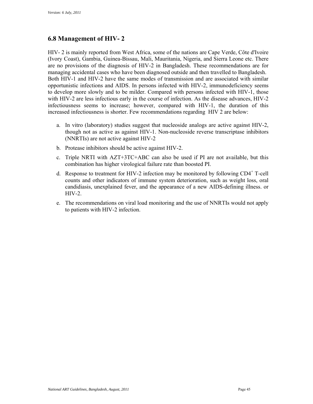### **6.8 Management of HIV- 2**

managing accidental cases who have been diagnosed outside and then travelled to Bangladesh. with HIV-2 are less infectious early in the course of infection. As the disease advances, HIV-2 HIV- 2 is mainly reported from West Africa, some of the nations are Cape Verde, Côte d'Ivoire (Ivory Coast), Gambia, Guinea-Bissau, Mali, Mauritania, Nigeria, and Sierra Leone etc. There are no provisions of the diagnosis of HIV-2 in Bangladesh. These recommendations are for Both HIV-1 and HIV-2 have the same modes of transmission and are associated with similar opportunistic infections and AIDS. In persons infected with HIV-2, immunodeficiency seems to develop more slowly and to be milder. Compared with persons infected with HIV-1, those infectiousness seems to increase; however, compared with HIV-1, the duration of this increased infectiousness is shorter. Few recommendations regarding HIV 2 are below:

- a. In vitro (laboratory) studies suggest that nucleoside analogs are active against HIV-2, though not as active as against HIV-1. Non-nucleoside reverse transcriptase inhibitors (NNRTIs) are not active against HIV-2
- b. Protease inhibitors should be active against HIV-2.
- c. Triple NRTI with AZT+3TC+ABC can also be used if PI are not available, but this combination has higher virological failure rate than boosted PI.
- d. Response to treatment for HIV-2 infection may be monitored by following  $CD4^+$  T-cell counts and other indicators of immune system deterioration, such as weight loss, oral candidiasis, unexplained fever, and the appearance of a new AIDS-defining illness. or HIV-2.
- e. The recommendations on viral load monitoring and the use of NNRTIs would not apply to patients with HIV-2 infection.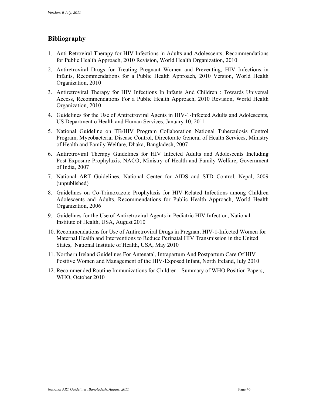### **Bibliography**

- 1. Anti Retroviral Therapy for HIV Infections in Adults and Adolescents, Recommendations for Public Health Approach, 2010 Revision, World Health Organization, 2010
- 2. Antiretroviral Drugs for Treating Pregnant Women and Preventing, HIV Infections in Infants, Recommendations for a Public Health Approach, 2010 Version, World Health Organization, 2010
- 3. Antiretroviral Therapy for HIV Infections In Infants And Children : Towards Universal Access, Recommendations For a Public Health Approach, 2010 Revision, World Health Organization, 2010
- 4. Guidelines for the Use of Antiretroviral Agents in HIV-1-Infected Adults and Adolescents, US Department o Health and Human Services, January 10, 2011
- 5. National Guideline on TB/HIV Program Collaboration National Tuberculosis Control Program, Mycobacterial Disease Control, Directorate General of Health Services, Ministry of Health and Family Welfare, Dhaka, Bangladesh, 2007
- 6. Antiretroviral Therapy Guidelines for HIV Infected Adults and Adolescents Including Post-Exposure Prophylaxis, NACO, Ministry of Health and Family Welfare, Government of India, 2007
- 7. National ART Guidelines, National Center for AIDS and STD Control, Nepal, 2009 (unpublished)
- 8. Guidelines on Co-Trimoxazole Prophylaxis for HIV-Related Infections among Children Adolescents and Adults, Recommendations for Public Health Approach, World Health Organization, 2006
- 9. Guidelines for the Use of Antiretroviral Agents in Pediatric HIV Infection, National Institute of Health, USA, August 2010
- States, National Institute of Health, USA, May 2010 10. Recommendations for Use of Antiretroviral Drugs in Pregnant HIV-1-Infected Women for Maternal Health and Interventions to Reduce Perinatal HIV Transmission in the United
- 11. Northern Ireland Guidelines For Antenatal, Intrapartum And Postpartum Care Of HIV Positive Women and Management of the HIV-Exposed Infant, North Ireland, July 2010
- 12. Recommended Routine Immunizations for Children Summary of WHO Position Papers, WHO, October 2010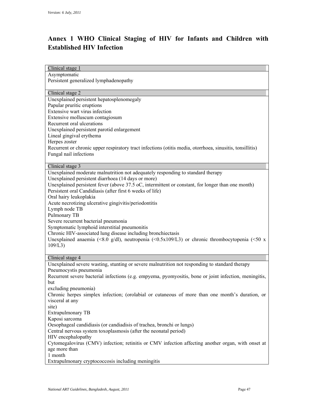### **Annex 1 WHO Clinical Staging of HIV for Infants and Children with Established HIV Infection**

| Clinical stage 1               |                                                                                                                                                          |
|--------------------------------|----------------------------------------------------------------------------------------------------------------------------------------------------------|
| Asymptomatic                   |                                                                                                                                                          |
|                                | Persistent generalized lymphadenopathy                                                                                                                   |
| Clinical stage 2               |                                                                                                                                                          |
|                                | Unexplained persistent hepatosplenomegaly                                                                                                                |
| Papular pruritic eruptions     |                                                                                                                                                          |
| Extensive wart virus infection |                                                                                                                                                          |
|                                | Extensive molluscum contagiosum                                                                                                                          |
| Recurrent oral ulcerations     |                                                                                                                                                          |
|                                | Unexplained persistent parotid enlargement                                                                                                               |
| Lineal gingival erythema       |                                                                                                                                                          |
| Herpes zoster                  |                                                                                                                                                          |
|                                | Recurrent or chronic upper respiratory tract infections (otitis media, otorrhoea, sinusitis, tonsillitis)                                                |
| Fungal nail infections         |                                                                                                                                                          |
| Clinical stage 3               |                                                                                                                                                          |
|                                | Unexplained moderate malnutrition not adequately responding to standard therapy                                                                          |
|                                | Unexplained persistent diarrhoea (14 days or more)                                                                                                       |
|                                | Unexplained persistent fever (above 37.5 oC, intermittent or constant, for longer than one month)                                                        |
|                                | Persistent oral Candidiasis (after first 6 weeks of life)                                                                                                |
| Oral hairy leukoplakia         |                                                                                                                                                          |
|                                | Acute necrotizing ulcerative gingivitis/periodontitis                                                                                                    |
| Lymph node TB                  |                                                                                                                                                          |
| Pulmonary TB                   |                                                                                                                                                          |
|                                | Severe recurrent bacterial pneumonia                                                                                                                     |
|                                | Symptomatic lymphoid interstitial pneumonitis                                                                                                            |
|                                | Chronic HIV-associated lung disease including bronchiectasis                                                                                             |
|                                | Unexplained anaemia (<8.0 g/dl), neutropenia (<0.5x109/L3) or chronic thrombocytopenia (<50 x                                                            |
| 109/L3                         |                                                                                                                                                          |
| Clinical stage 4               |                                                                                                                                                          |
|                                | Unexplained severe wasting, stunting or severe malnutrition not responding to standard therapy                                                           |
| Pneumocystis pneumonia         |                                                                                                                                                          |
|                                | Recurrent severe bacterial infections (e.g. empyema, pyomyositis, bone or joint infection, meningitis,                                                   |
| but                            |                                                                                                                                                          |
| excluding pneumonia)           |                                                                                                                                                          |
|                                | Chronic herpes simplex infection; (orolabial or cutaneous of more than one month's duration, or                                                          |
| visceral at any                |                                                                                                                                                          |
| site)                          |                                                                                                                                                          |
| <b>Extrapulmonary TB</b>       |                                                                                                                                                          |
| Kaposi sarcoma                 |                                                                                                                                                          |
|                                | Oesophageal candidiasis (or candiadisis of trachea, bronchi or lungs)                                                                                    |
|                                | Central nervous system toxoplasmosis (after the neonatal period)                                                                                         |
|                                |                                                                                                                                                          |
|                                |                                                                                                                                                          |
| HIV encephalopathy             |                                                                                                                                                          |
| age more than                  |                                                                                                                                                          |
| 1 month                        | Cytomegalovirus (CMV) infection; retinitis or CMV infection affecting another organ, with onset at<br>Extrapulmonary cryptococcosis including meningitis |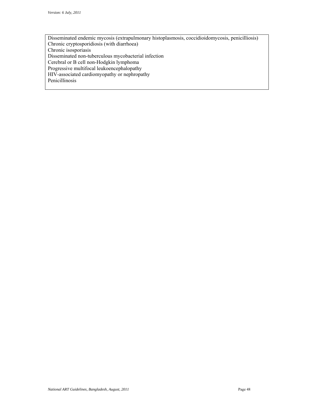Disseminated endemic mycosis (extrapulmonary histoplasmosis, coccidioidomycosis, penicilliosis) Chronic cryptosporidiosis (with diarrhoea) Chronic isosporiasis Disseminated non-tuberculous mycobacterial infection Cerebral or B cell non-Hodgkin lymphoma Progressive multifocal leukoencephalopathy HIV-associated cardiomyopathy or nephropathy Penicillinosis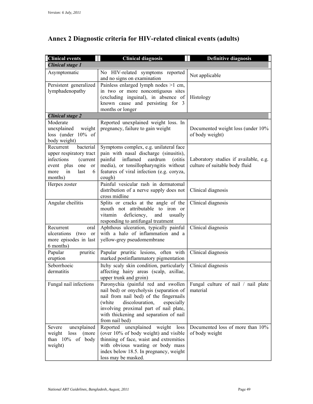| <b>Clinical events</b>                                                                                                                       | <b>Clinical diagnosis</b>                                                                                                                                                                                                                                                 | <b>Definitive diagnosis</b>                                             |
|----------------------------------------------------------------------------------------------------------------------------------------------|---------------------------------------------------------------------------------------------------------------------------------------------------------------------------------------------------------------------------------------------------------------------------|-------------------------------------------------------------------------|
| <b>Clinical stage 1</b>                                                                                                                      |                                                                                                                                                                                                                                                                           |                                                                         |
| Asymptomatic                                                                                                                                 | No HIV-related symptoms reported<br>and no signs on examination                                                                                                                                                                                                           | Not applicable                                                          |
| Persistent generalized<br>lymphadenopathy                                                                                                    | Painless enlarged lymph nodes >1 cm,<br>in two or more noncontiguous sites<br>(excluding inguinal), in absence of<br>known cause and persisting for 3<br>months or longer                                                                                                 | Histology                                                               |
| <b>Clinical stage 2</b>                                                                                                                      |                                                                                                                                                                                                                                                                           |                                                                         |
| Moderate<br>unexplained<br>weight<br>loss (under 10% of<br>body weight)                                                                      | Reported unexplained weight loss. In<br>pregnancy, failure to gain weight                                                                                                                                                                                                 | Documented weight loss (under 10%<br>of body weight)                    |
| bacterial<br>Recurrent<br>upper respiratory tract<br>infections<br>(current<br>event plus<br>one<br>or<br>in<br>last<br>more<br>6<br>months) | Symptoms complex, e.g. unilateral face<br>pain with nasal discharge (sinusitis),<br>painful inflamed<br>eardrum<br>(otitis)<br>media), or tonsillopharyngitis without<br>features of viral infection (e.g. coryza,<br>cough)                                              | Laboratory studies if available, e.g.<br>culture of suitable body fluid |
| Herpes zoster                                                                                                                                | Painful vesicular rash in dermatomal<br>distribution of a nerve supply does not<br>cross midline                                                                                                                                                                          | Clinical diagnosis                                                      |
| Angular cheilitis                                                                                                                            | Splits or cracks at the angle of the<br>mouth not attributable to iron or<br>deficiency,<br>vitamin<br>usually<br>and<br>responding to antifungal treatment                                                                                                               | Clinical diagnosis                                                      |
| Recurrent<br>oral<br>ulcerations<br>(two<br>or<br>more episodes in last<br>6 months)                                                         | Aphthous ulceration, typically painful<br>with a halo of inflammation and a<br>yellow-grey pseudomembrane                                                                                                                                                                 | Clinical diagnosis                                                      |
| Papular<br>pruritic<br>eruption                                                                                                              | Papular pruritic lesions, often with<br>marked postinflammatory pigmentation                                                                                                                                                                                              | Clinical diagnosis                                                      |
| Seborrhoeic<br>dermatitis                                                                                                                    | Itchy scaly skin condition, particularly<br>affecting hairy areas (scalp, axillae,<br>upper trunk and groin)                                                                                                                                                              | Clinical diagnosis                                                      |
| Fungal nail infections                                                                                                                       | Paronychia (painful red and swollen<br>nail bed) or onycholysis (separation of<br>nail from nail bed) of the fingernails<br>discolouration,<br>(white<br>especially<br>involving proximal part of nail plate,<br>with thickening and separation of nail<br>from nail bed) | Fungal culture of nail / nail plate<br>material                         |
| unexplained<br>Severe<br>weight<br>loss<br>(more<br>than 10% of body<br>weight)                                                              | unexplained<br>Reported<br>weight<br>loss<br>(over 10% of body weight) and visible<br>thinning of face, waist and extremities<br>with obvious wasting or body mass<br>index below 18.5. In pregnancy, weight<br>loss may be masked.                                       | Documented loss of more than 10%<br>of body weight                      |

### **Annex 2 Diagnostic criteria for HIV-related clinical events (adults)**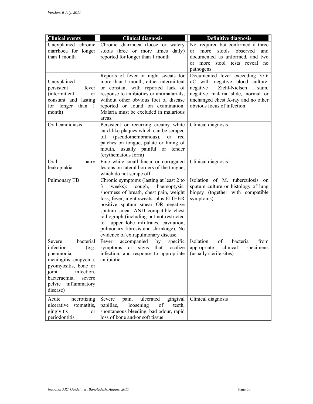| <b>Clinical events</b>                                                                                                                                                                         | <b>Clinical diagnosis</b>                                                                                                                                                                                                                                                                                                                                                                                                 |                                                                                                                                                                                                                     |
|------------------------------------------------------------------------------------------------------------------------------------------------------------------------------------------------|---------------------------------------------------------------------------------------------------------------------------------------------------------------------------------------------------------------------------------------------------------------------------------------------------------------------------------------------------------------------------------------------------------------------------|---------------------------------------------------------------------------------------------------------------------------------------------------------------------------------------------------------------------|
| Unexplained chronic<br>diarrhoea for longer<br>than 1 month                                                                                                                                    | Chronic diarrhoea (loose or watery<br>stools three or more times daily)<br>reported for longer than 1 month                                                                                                                                                                                                                                                                                                               | <b>Definitive diagnosis</b><br>Not required but confirmed if three<br>stools<br>observed<br>more<br>and<br>$\alpha$<br>documented as unformed, and two<br>stool tests reveal<br>more<br>$\alpha$<br>no<br>pathogens |
| Unexplained<br>persistent<br>fever<br>(intermittent<br>or<br>constant and lasting<br>for longer<br>than<br>- 1<br>month)                                                                       | Reports of fever or night sweats for<br>more than 1 month, either intermittent<br>or constant with reported lack of<br>response to antibiotics or antimalarials,<br>without other obvious foci of disease<br>reported or found on examination.<br>Malaria must be excluded in malarious<br>areas.                                                                                                                         | Documented fever exceeding 37.6<br>oC with negative blood culture,<br>Ziehl-Nielsen<br>negative<br>stain,<br>negative malaria slide, normal or<br>unchanged chest X-ray and no other<br>obvious focus of infection  |
| Oral candidiasis                                                                                                                                                                               | Persistent or recurring creamy white<br>curd-like plaques which can be scraped<br>(pseudomembranous),<br>off<br><sub>or</sub><br>red<br>patches on tongue, palate or lining of<br>usually painful or<br>mouth,<br>tender<br>(erythematous form)                                                                                                                                                                           | Clinical diagnosis                                                                                                                                                                                                  |
| Oral<br>hairy<br>leukoplakia                                                                                                                                                                   | Fine white small linear or corrugated<br>lesions on lateral borders of the tongue,<br>which do not scrape off                                                                                                                                                                                                                                                                                                             | Clinical diagnosis                                                                                                                                                                                                  |
| Pulmonary TB                                                                                                                                                                                   | Chronic symptoms (lasting at least 2 to<br>3<br>weeks):<br>cough,<br>haemoptysis,<br>shortness of breath, chest pain, weight<br>loss, fever, night sweats, plus EITHER<br>positive sputum smear OR negative<br>sputum smear AND compatible chest<br>radiograph (including but not restricted<br>upper lobe infiltrates, cavitation,<br>to<br>pulmonary fibrosis and shrinkage). No<br>evidence of extrapulmonary disease. | Isolation of M. tuberculosis on<br>sputum culture or histology of lung<br>biopsy (together with compatible<br>symptoms)                                                                                             |
| bacterial<br>Severe<br>infection<br>(e.g.<br>pneumonia,<br>meningitis, empyema,<br>pyomyositis, bone or<br>joint<br>infection,<br>bacteraemia,<br>severe<br>inflammatory<br>pelvic<br>disease) | Fever<br>accompanied<br>by<br>specific<br>localize<br>signs<br>that<br>symptoms<br>or<br>infection, and response to appropriate<br>antibiotic                                                                                                                                                                                                                                                                             | Isolation<br>of<br>from<br>bacteria<br>appropriate<br>clinical<br>specimens<br>(usually sterile sites)                                                                                                              |
| Acute<br>necrotizing<br>ulcerative<br>stomatitis,<br>gingivitis<br>or<br>periodontitis                                                                                                         | Severe<br>pain,<br>ulcerated<br>gingival<br>loosening<br>papillae,<br>teeth,<br>of<br>spontaneous bleeding, bad odour, rapid<br>loss of bone and/or soft tissue                                                                                                                                                                                                                                                           | Clinical diagnosis                                                                                                                                                                                                  |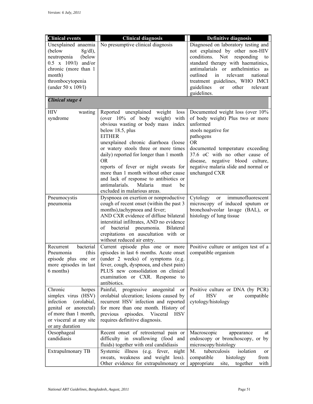| <b>Clinical events</b>                                                                                                                                                                | <b>Clinical diagnosis</b>                                                                                                                                                                                                                                                                                                                                                                                                                                                                         | <b>Definitive diagnosis</b>                                                                                                                                                                                                                                                                                                               |
|---------------------------------------------------------------------------------------------------------------------------------------------------------------------------------------|---------------------------------------------------------------------------------------------------------------------------------------------------------------------------------------------------------------------------------------------------------------------------------------------------------------------------------------------------------------------------------------------------------------------------------------------------------------------------------------------------|-------------------------------------------------------------------------------------------------------------------------------------------------------------------------------------------------------------------------------------------------------------------------------------------------------------------------------------------|
| Unexplained anaemia<br>(below<br>$8g/dl$ ),<br>neutropenia<br>(below<br>$0.5 \times 109/l$ and/or<br>chronic (more than 1<br>month)<br>thrombocytopenia<br>(under $50 \times 109/l$ ) | No presumptive clinical diagnosis                                                                                                                                                                                                                                                                                                                                                                                                                                                                 | Diagnosed on laboratory testing and<br>not explained by other non-HIV<br>conditions.<br>Not<br>responding<br>to<br>standard therapy with haematinics,<br>antimalarials or anthelmintics as<br>outlined<br>in<br>relevant<br>national<br>treatment guidelines, WHO IMCI<br>guidelines<br>other<br>relevant<br><sub>or</sub><br>guidelines. |
| <b>Clinical stage 4</b>                                                                                                                                                               |                                                                                                                                                                                                                                                                                                                                                                                                                                                                                                   |                                                                                                                                                                                                                                                                                                                                           |
| <b>HIV</b><br>wasting<br>syndrome                                                                                                                                                     | Reported unexplained weight<br>loss<br>(over 10% of body weight)<br>with<br>obvious wasting or body mass index<br>below 18.5, plus<br><b>EITHER</b><br>unexplained chronic diarrhoea (loose<br>or watery stools three or more times<br>daily) reported for longer than 1 month<br><b>OR</b><br>reports of fever or night sweats for<br>more than 1 month without other cause<br>and lack of response to antibiotics or<br>antimalarials.<br>Malaria<br>be<br>must<br>excluded in malarious areas. | Documented weight loss (over 10%<br>of body weight) Plus two or more<br>unformed<br>stools negative for<br>pathogens<br><b>OR</b><br>documented temperature exceeding<br>37.6 oC with no other cause of<br>disease, negative blood culture,<br>negative malaria slide and normal or<br>unchanged CXR                                      |
| Pneumocystis<br>pneumonia                                                                                                                                                             | Dyspnoea on exertion or nonproductive<br>cough of recent onset (within the past 3<br>months), tachypnoea and fever;<br>AND CXR evidence of diffuse bilateral<br>interstitial infiltrates, AND no evidence<br>of bacterial pneumonia.<br>Bilateral<br>crepitations on auscultation with or<br>without reduced air entry.                                                                                                                                                                           | Cytology<br>immunofluorescent<br>or<br>microscopy of induced sputum or<br>bronchoalveolar lavage (BAL), or<br>histology of lung tissue                                                                                                                                                                                                    |
| bacterial<br>Recurrent<br>(this<br>Pneumonia<br>episode plus one or  <br>more episodes in last<br>6 months)                                                                           | Current episode plus one or more<br>episodes in last 6 months. Acute onset<br>(under 2 weeks) of symptoms (e.g.<br>fever, cough, dyspnoea, and chest pain)<br>PLUS new consolidation on clinical<br>examination or CXR. Response to<br>antibiotics.                                                                                                                                                                                                                                               | Positive culture or antigen test of a<br>compatible organism                                                                                                                                                                                                                                                                              |
| Chronic<br>herpes<br>simplex virus (HSV)<br>infection<br>(orolabial,<br>genital or anorectal)<br>of more than 1 month,<br>or visceral at any site<br>or any duration                  | Painful, progressive anogenital<br>or<br>orolabial ulceration; lesions caused by<br>recurrent HSV infection and reported<br>for more than one month. History of<br>episodes. Visceral<br>previous<br><b>HSV</b><br>requires definitive diagnosis.                                                                                                                                                                                                                                                 | Positive culture or DNA (by PCR)<br>of<br><b>HSV</b><br>compatible<br>or<br>cytology/histology                                                                                                                                                                                                                                            |
| Oesophageal<br>candidiasis                                                                                                                                                            | Recent onset of retrosternal pain or<br>difficulty in swallowing (food and<br>fluids) together with oral candidiasis                                                                                                                                                                                                                                                                                                                                                                              | Macroscopic<br>appearance<br>at<br>endoscopy or bronchoscopy, or by<br>microscopy/histology                                                                                                                                                                                                                                               |
| Extrapulmonary TB                                                                                                                                                                     | Systemic illness (e.g. fever, night<br>sweats, weakness and weight loss).<br>Other evidence for extrapulmonary or                                                                                                                                                                                                                                                                                                                                                                                 | tuberculosis<br>isolation<br>M.<br>or<br>compatible<br>histology<br>from<br>appropriate<br>together<br>with<br>site,                                                                                                                                                                                                                      |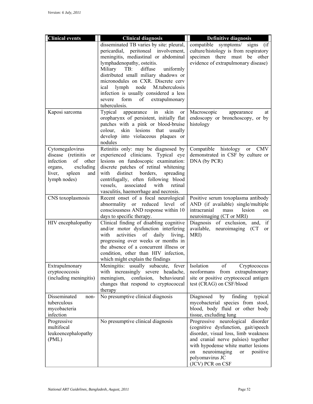| <b>Clinical events</b><br><b>Clinical diagnosis</b><br><b>Definitive diagnosis</b><br>disseminated TB varies by site: pleural,<br>compatible symptoms/<br>signs<br>(i f)<br>culture/histology is from respiratory<br>pericardial, peritoneal involvement,<br>meningitis, mediastinal or abdominal<br>specimen there must<br>be<br>other<br>lymphadenopathy, osteitis.<br>evidence of extrapulmonary disease)<br>Miliary<br>TB:<br>diffuse<br>uniformly<br>distributed small miliary shadows or<br>micronodules on CXR. Discrete cerv<br>node<br>lymph<br>M.tuberculosis<br>ical<br>infection is usually considered a less<br>form<br>of<br>extrapulmonary<br>severe<br>tuberculosis.<br>in<br>Typical<br>skin<br>Kaposi sarcoma<br>appearance<br>Macroscopic<br>appearance<br>or<br>at<br>oropharynx of persistent, initially flat<br>endoscopy or bronchoscopy, or by<br>patches with a pink or blood-bruise<br>histology<br>skin lesions that usually<br>colour,<br>develop into violaceous plaques or<br>nodules |
|---------------------------------------------------------------------------------------------------------------------------------------------------------------------------------------------------------------------------------------------------------------------------------------------------------------------------------------------------------------------------------------------------------------------------------------------------------------------------------------------------------------------------------------------------------------------------------------------------------------------------------------------------------------------------------------------------------------------------------------------------------------------------------------------------------------------------------------------------------------------------------------------------------------------------------------------------------------------------------------------------------------------|
|                                                                                                                                                                                                                                                                                                                                                                                                                                                                                                                                                                                                                                                                                                                                                                                                                                                                                                                                                                                                                     |
|                                                                                                                                                                                                                                                                                                                                                                                                                                                                                                                                                                                                                                                                                                                                                                                                                                                                                                                                                                                                                     |
|                                                                                                                                                                                                                                                                                                                                                                                                                                                                                                                                                                                                                                                                                                                                                                                                                                                                                                                                                                                                                     |
|                                                                                                                                                                                                                                                                                                                                                                                                                                                                                                                                                                                                                                                                                                                                                                                                                                                                                                                                                                                                                     |
|                                                                                                                                                                                                                                                                                                                                                                                                                                                                                                                                                                                                                                                                                                                                                                                                                                                                                                                                                                                                                     |
|                                                                                                                                                                                                                                                                                                                                                                                                                                                                                                                                                                                                                                                                                                                                                                                                                                                                                                                                                                                                                     |
|                                                                                                                                                                                                                                                                                                                                                                                                                                                                                                                                                                                                                                                                                                                                                                                                                                                                                                                                                                                                                     |
|                                                                                                                                                                                                                                                                                                                                                                                                                                                                                                                                                                                                                                                                                                                                                                                                                                                                                                                                                                                                                     |
|                                                                                                                                                                                                                                                                                                                                                                                                                                                                                                                                                                                                                                                                                                                                                                                                                                                                                                                                                                                                                     |
|                                                                                                                                                                                                                                                                                                                                                                                                                                                                                                                                                                                                                                                                                                                                                                                                                                                                                                                                                                                                                     |
|                                                                                                                                                                                                                                                                                                                                                                                                                                                                                                                                                                                                                                                                                                                                                                                                                                                                                                                                                                                                                     |
|                                                                                                                                                                                                                                                                                                                                                                                                                                                                                                                                                                                                                                                                                                                                                                                                                                                                                                                                                                                                                     |
|                                                                                                                                                                                                                                                                                                                                                                                                                                                                                                                                                                                                                                                                                                                                                                                                                                                                                                                                                                                                                     |
|                                                                                                                                                                                                                                                                                                                                                                                                                                                                                                                                                                                                                                                                                                                                                                                                                                                                                                                                                                                                                     |
|                                                                                                                                                                                                                                                                                                                                                                                                                                                                                                                                                                                                                                                                                                                                                                                                                                                                                                                                                                                                                     |
|                                                                                                                                                                                                                                                                                                                                                                                                                                                                                                                                                                                                                                                                                                                                                                                                                                                                                                                                                                                                                     |
|                                                                                                                                                                                                                                                                                                                                                                                                                                                                                                                                                                                                                                                                                                                                                                                                                                                                                                                                                                                                                     |
| Retinitis only: may be diagnosed by<br>CMV<br>Cytomegalovirus<br>Compatible histology<br>or                                                                                                                                                                                                                                                                                                                                                                                                                                                                                                                                                                                                                                                                                                                                                                                                                                                                                                                         |
| experienced clinicians. Typical eye<br>demonstrated in CSF by culture or<br>disease (retinitis<br>or                                                                                                                                                                                                                                                                                                                                                                                                                                                                                                                                                                                                                                                                                                                                                                                                                                                                                                                |
| infection<br>other<br>lesions on fundoscopic examination:<br>DNA (by PCR)<br>of                                                                                                                                                                                                                                                                                                                                                                                                                                                                                                                                                                                                                                                                                                                                                                                                                                                                                                                                     |
| discrete patches of retinal whitening<br>excluding<br>organs,                                                                                                                                                                                                                                                                                                                                                                                                                                                                                                                                                                                                                                                                                                                                                                                                                                                                                                                                                       |
| liver,<br>spleen<br>distinct<br>borders,<br>with<br>spreading<br>and                                                                                                                                                                                                                                                                                                                                                                                                                                                                                                                                                                                                                                                                                                                                                                                                                                                                                                                                                |
| lymph nodes)<br>centrifugally, often following blood                                                                                                                                                                                                                                                                                                                                                                                                                                                                                                                                                                                                                                                                                                                                                                                                                                                                                                                                                                |
| vessels,<br>associated<br>with<br>retinal                                                                                                                                                                                                                                                                                                                                                                                                                                                                                                                                                                                                                                                                                                                                                                                                                                                                                                                                                                           |
| vasculitis, haemorrhage and necrosis.                                                                                                                                                                                                                                                                                                                                                                                                                                                                                                                                                                                                                                                                                                                                                                                                                                                                                                                                                                               |
| Recent onset of a focal neurological<br>CNS toxoplasmosis<br>Positive serum toxoplasma antibody                                                                                                                                                                                                                                                                                                                                                                                                                                                                                                                                                                                                                                                                                                                                                                                                                                                                                                                     |
| AND (if available) single/multiple<br>abnormality or reduced level<br>of                                                                                                                                                                                                                                                                                                                                                                                                                                                                                                                                                                                                                                                                                                                                                                                                                                                                                                                                            |
| consciousness AND response within 10<br>intracranial<br>lesion<br>mass<br>on                                                                                                                                                                                                                                                                                                                                                                                                                                                                                                                                                                                                                                                                                                                                                                                                                                                                                                                                        |
| days to specific therapy.<br>neuroimaging (CT or MRI)                                                                                                                                                                                                                                                                                                                                                                                                                                                                                                                                                                                                                                                                                                                                                                                                                                                                                                                                                               |
| Clinical finding of disabling cognitive<br>Diagnosis of exclusion,<br>if<br>HIV encephalopathy<br>and,                                                                                                                                                                                                                                                                                                                                                                                                                                                                                                                                                                                                                                                                                                                                                                                                                                                                                                              |
| and/or motor dysfunction interfering<br>available,<br>neuroimaging<br>(CT)<br>or<br>MRI)<br>with<br>activities                                                                                                                                                                                                                                                                                                                                                                                                                                                                                                                                                                                                                                                                                                                                                                                                                                                                                                      |
| daily<br>of<br>living,<br>progressing over weeks or months in                                                                                                                                                                                                                                                                                                                                                                                                                                                                                                                                                                                                                                                                                                                                                                                                                                                                                                                                                       |
| the absence of a concurrent illness or                                                                                                                                                                                                                                                                                                                                                                                                                                                                                                                                                                                                                                                                                                                                                                                                                                                                                                                                                                              |
| condition, other than HIV infection,                                                                                                                                                                                                                                                                                                                                                                                                                                                                                                                                                                                                                                                                                                                                                                                                                                                                                                                                                                                |
| which might explain the findings                                                                                                                                                                                                                                                                                                                                                                                                                                                                                                                                                                                                                                                                                                                                                                                                                                                                                                                                                                                    |
| Isolation<br>Extrapulmonary<br>Meningitis: usually subacute, fever<br>of<br>Cryptococcus                                                                                                                                                                                                                                                                                                                                                                                                                                                                                                                                                                                                                                                                                                                                                                                                                                                                                                                            |
| cryptococcosis<br>with increasingly severe headache,<br>neoformans<br>from extrapulmonary                                                                                                                                                                                                                                                                                                                                                                                                                                                                                                                                                                                                                                                                                                                                                                                                                                                                                                                           |
| site or positive cryptococcal antigen<br>(including meningitis)<br>confusion,<br>behavioural<br>meningism,                                                                                                                                                                                                                                                                                                                                                                                                                                                                                                                                                                                                                                                                                                                                                                                                                                                                                                          |
| changes that respond to cryptococcal<br>test (CRAG) on CSF/blood                                                                                                                                                                                                                                                                                                                                                                                                                                                                                                                                                                                                                                                                                                                                                                                                                                                                                                                                                    |
| therapy                                                                                                                                                                                                                                                                                                                                                                                                                                                                                                                                                                                                                                                                                                                                                                                                                                                                                                                                                                                                             |
| No presumptive clinical diagnosis<br>Disseminated<br>Diagnosed<br>finding<br>by<br>typical<br>non-                                                                                                                                                                                                                                                                                                                                                                                                                                                                                                                                                                                                                                                                                                                                                                                                                                                                                                                  |
| tuberculous<br>mycobacterial species from stool,                                                                                                                                                                                                                                                                                                                                                                                                                                                                                                                                                                                                                                                                                                                                                                                                                                                                                                                                                                    |
| blood, body fluid or other body<br>mycobacteria                                                                                                                                                                                                                                                                                                                                                                                                                                                                                                                                                                                                                                                                                                                                                                                                                                                                                                                                                                     |
| infection<br>tissue, excluding lung                                                                                                                                                                                                                                                                                                                                                                                                                                                                                                                                                                                                                                                                                                                                                                                                                                                                                                                                                                                 |
| Progressive<br>No presumptive clinical diagnosis<br>Progressive neurological disorder                                                                                                                                                                                                                                                                                                                                                                                                                                                                                                                                                                                                                                                                                                                                                                                                                                                                                                                               |
| (cognitive dysfunction, gait/speech<br>multifocal                                                                                                                                                                                                                                                                                                                                                                                                                                                                                                                                                                                                                                                                                                                                                                                                                                                                                                                                                                   |
| disorder, visual loss, limb weakness<br>leukoencephalopathy                                                                                                                                                                                                                                                                                                                                                                                                                                                                                                                                                                                                                                                                                                                                                                                                                                                                                                                                                         |
| and cranial nerve palsies) together<br>(PML)                                                                                                                                                                                                                                                                                                                                                                                                                                                                                                                                                                                                                                                                                                                                                                                                                                                                                                                                                                        |
| with hypodense white matter lesions                                                                                                                                                                                                                                                                                                                                                                                                                                                                                                                                                                                                                                                                                                                                                                                                                                                                                                                                                                                 |
| neuroimaging<br>positive<br>on<br>or<br>polyomavirus JC                                                                                                                                                                                                                                                                                                                                                                                                                                                                                                                                                                                                                                                                                                                                                                                                                                                                                                                                                             |
| (JCV) PCR on CSF                                                                                                                                                                                                                                                                                                                                                                                                                                                                                                                                                                                                                                                                                                                                                                                                                                                                                                                                                                                                    |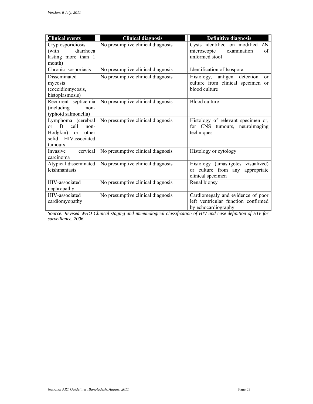| <b>Clinical events</b>                                                                                                        | <b>Clinical diagnosis</b>         | <b>Definitive diagnosis</b>                                                                               |
|-------------------------------------------------------------------------------------------------------------------------------|-----------------------------------|-----------------------------------------------------------------------------------------------------------|
| Cryptosporidiosis<br>diarrhoea<br>(with<br>lasting more than 1<br>month)                                                      | No presumptive clinical diagnosis | Cysts identified on modified ZN<br>microscopic<br>examination<br>οf<br>unformed stool                     |
| Chronic isosporiasis                                                                                                          | No presumptive clinical diagnosis | Identification of Isospora                                                                                |
| Disseminated<br>mycosis<br>(coccidiomycosis,<br>histoplasmosis)                                                               | No presumptive clinical diagnosis | detection<br>Histology,<br>antigen<br><sub>or</sub><br>culture from clinical specimen or<br>blood culture |
| Recurrent septicemia<br>(including)<br>non-<br>typhoid salmonella)                                                            | No presumptive clinical diagnosis | Blood culture                                                                                             |
| Lymphoma (cerebral<br>$\mathbf{B}$<br>cell<br>$\alpha$ r<br>non-<br>Hodgkin)<br>other<br>or<br>solid HIVassociated<br>tumours | No presumptive clinical diagnosis | Histology of relevant specimen or,<br>for CNS tumours, neuroimaging<br>techniques                         |
| cervical<br>Invasive<br>carcinoma                                                                                             | No presumptive clinical diagnosis | Histology or cytology                                                                                     |
| Atypical disseminated<br>leishmaniasis                                                                                        | No presumptive clinical diagnosis | Histology (amastigotes visualized)<br>or culture from any<br>appropriate<br>clinical specimen             |
| HIV-associated<br>nephropathy                                                                                                 | No presumptive clinical diagnosis | Renal biopsy                                                                                              |
| HIV-associated<br>cardiomyopathy                                                                                              | No presumptive clinical diagnosis | Cardiomegaly and evidence of poor<br>left ventricular function confirmed<br>by echocardiography           |

*Source: Revised WHO Clinical staging and immunological classification of HIV and case definition of HIV for surveillance. 2006.*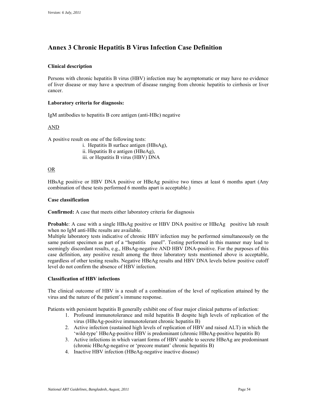### **Annex 3 Chronic Hepatitis B Virus Infection Case Definition**

#### **Clinical description**

Persons with chronic hepatitis B virus (HBV) infection may be asymptomatic or may have no evidence of liver disease or may have a spectrum of disease ranging from chronic hepatitis to cirrhosis or liver cancer.

#### **Laboratory criteria for diagnosis:**

IgM antibodies to hepatitis B core antigen (anti-HBc) negative<br>AND

A positive result on one of the following tests:

i. Hepatitis B surface antigen (HBsAg), ii. Hepatitis B e antigen (HBeAg), iii. or Hepatitis B virus (HBV) DNA

#### OR

HBsAg positive or HBV DNA positive or HBeAg positive two times at least 6 months apart (Any combination of these tests performed 6 months apart is acceptable.)

#### **Case classification**

**Confirmed:** A case that meets either laboratory criteria for diagnosis

**Probabl**e: A case with a single HBsAg positive or HBV DNA positive or HBeAg positive lab result when no IgM anti-HBc results are available.

 same patient specimen as part of a "hepatitis panel". Testing performed in this manner may lead to Multiple laboratory tests indicative of chronic HBV infection may be performed simultaneously on the seemingly discordant results, e.g., HBsAg-negative AND HBV DNA-positive. For the purposes of this case definition, any positive result among the three laboratory tests mentioned above is acceptable, regardless of other testing results. Negative HBeAg results and HBV DNA levels below positive cutoff level do not confirm the absence of HBV infection.

#### **Classification of HBV infections**

 virus and the nature of the patient's immune response. The clinical outcome of HBV is a result of a combination of the level of replication attained by the

Patients with persistent hepatitis B generally exhibit one of four major clinical patterns of infection:

- 1. Profound immunotolerance and mild hepatitis B despite high levels of replication of the virus (HBeAg-positive immunotolerant chronic hepatitis B)
- 2. Active infection (sustained high levels of replication of HBV and raised ALT) in which the 'wild-type' HBeAg-positive HBV is predominant (chronic HBeAg-positive hepatitis B)
- 3. Active infections in which variant forms of HBV unable to secrete HBeAg are predominant (chronic HBeAg-negative or 'precore mutant' chronic hepatitis B)
- 4. Inactive HBV infection (HBeAg-negative inactive disease)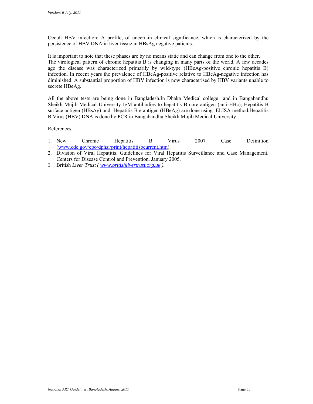Occult HBV infection: A profile, of uncertain clinical significance, which is characterized by the persistence of HBV DNA in liver tissue in HBsAg negative patients.

 It is important to note that these phases are by no means static and can change from one to the other. The virological pattern of chronic hepatitis B is changing in many parts of the world. A few decades ago the disease was characterized primarily by wild-type (HBeAg-positive chronic hepatitis B) infection. In recent years the prevalence of HBeAg-positive relative to HBeAg-negative infection has diminished. A substantial proportion of HBV infection is now characterised by HBV variants unable to secrete HBeAg.

 All the above tests are being done in Bangladesh.In Dhaka Medical college and in Bangabandhu surface antigen (HBsAg) and Hepatitis B e antigen (HBeAg) are done using ELISA method.Hepatitis B Virus (HBV) DNA is done by PCR in Bangabandhu Sheikh Mujib Medical University. Sheikh Mujib Medical University IgM antibodies to hepatitis B core antigen (anti-HBc), Hepatitis B

References:

- 1. New Chronic Hepatitis B Virus 2007 Case Definition (www.cdc.gov/epo/dphsi/print/hepatitisbcurrent.htm).
- 2. Division of Viral Hepatitis. Guidelines for Viral Hepatitis Surveillance and Case Management. Centers for Disease Control and Prevention. January 2005.
- *3.* British *Liver Trust ( www.britishlivertrust.org.uk ).*